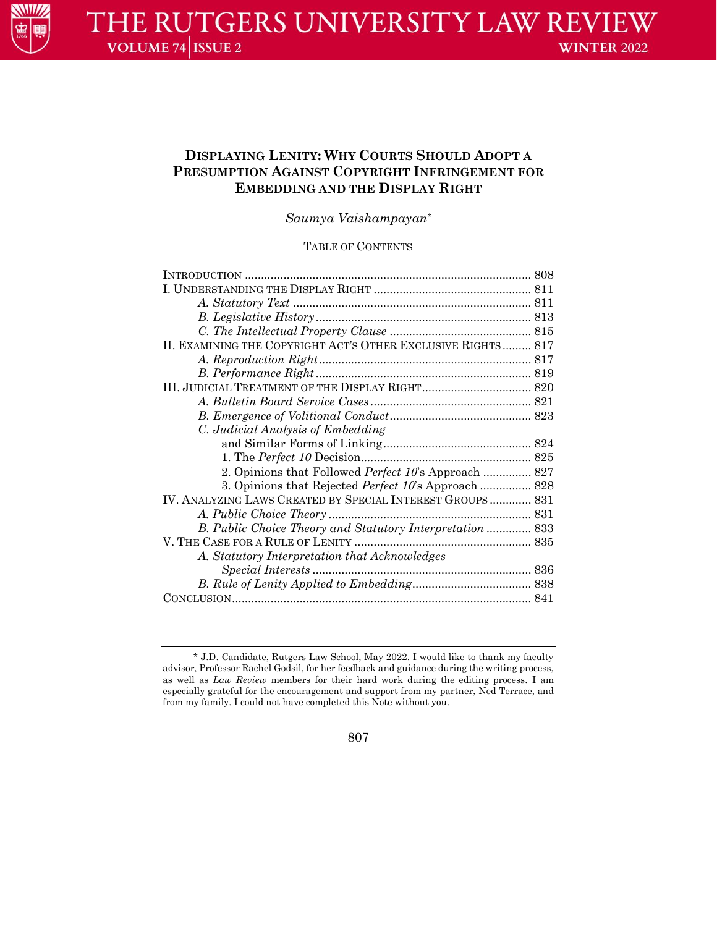

# **DISPLAYING LENITY: WHY COURTS SHOULD ADOPT A PRESUMPTION AGAINST COPYRIGHT INFRINGEMENT FOR EMBEDDING AND THE DISPLAY RIGHT**

*Saumya Vaishampayan\**

# TABLE OF CONTENTS

| II. EXAMINING THE COPYRIGHT ACT'S OTHER EXCLUSIVE RIGHTS 817 |  |
|--------------------------------------------------------------|--|
|                                                              |  |
|                                                              |  |
|                                                              |  |
|                                                              |  |
|                                                              |  |
| C. Judicial Analysis of Embedding                            |  |
|                                                              |  |
|                                                              |  |
| 2. Opinions that Followed <i>Perfect 10's</i> Approach  827  |  |
| 3. Opinions that Rejected Perfect 10's Approach  828         |  |
| IV. ANALYZING LAWS CREATED BY SPECIAL INTEREST GROUPS 831    |  |
|                                                              |  |
| B. Public Choice Theory and Statutory Interpretation  833    |  |
|                                                              |  |
| A. Statutory Interpretation that Acknowledges                |  |
|                                                              |  |
|                                                              |  |
|                                                              |  |
|                                                              |  |

807

<sup>\*</sup> J.D. Candidate, Rutgers Law School, May 2022. I would like to thank my faculty advisor, Professor Rachel Godsil, for her feedback and guidance during the writing process, as well as *Law Review* members for their hard work during the editing process. I am especially grateful for the encouragement and support from my partner, Ned Terrace, and from my family. I could not have completed this Note without you.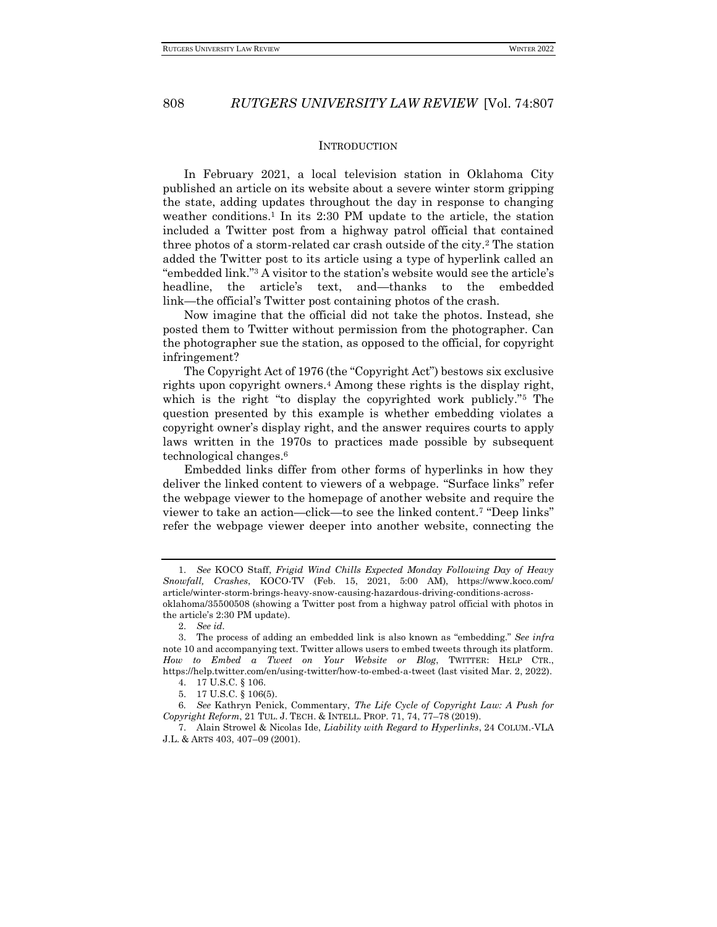### **INTRODUCTION**

In February 2021, a local television station in Oklahoma City published an article on its website about a severe winter storm gripping the state, adding updates throughout the day in response to changing weather conditions.<sup>1</sup> In its 2:30 PM update to the article, the station included a Twitter post from a highway patrol official that contained three photos of a storm-related car crash outside of the city.<sup>2</sup> The station added the Twitter post to its article using a type of hyperlink called an "embedded link."<sup>3</sup> A visitor to the station's website would see the article's headline, the article's text, and—thanks to the embedded link—the official's Twitter post containing photos of the crash.

Now imagine that the official did not take the photos. Instead, she posted them to Twitter without permission from the photographer. Can the photographer sue the station, as opposed to the official, for copyright infringement?

The Copyright Act of 1976 (the "Copyright Act") bestows six exclusive rights upon copyright owners.<sup>4</sup> Among these rights is the display right, which is the right "to display the copyrighted work publicly."<sup>5</sup> The question presented by this example is whether embedding violates a copyright owner's display right, and the answer requires courts to apply laws written in the 1970s to practices made possible by subsequent technological changes.<sup>6</sup>

Embedded links differ from other forms of hyperlinks in how they deliver the linked content to viewers of a webpage. "Surface links" refer the webpage viewer to the homepage of another website and require the viewer to take an action—click—to see the linked content.<sup>7</sup> "Deep links" refer the webpage viewer deeper into another website, connecting the

<sup>1.</sup> *See* KOCO Staff, *Frigid Wind Chills Expected Monday Following Day of Heavy Snowfall, Crashes*, KOCO-TV (Feb. 15, 2021, 5:00 AM), https://www.koco.com/ article/winter-storm-brings-heavy-snow-causing-hazardous-driving-conditions-acrossoklahoma/35500508 (showing a Twitter post from a highway patrol official with photos in the article's 2:30 PM update).

<sup>2.</sup> *See id.*

<sup>3.</sup> The process of adding an embedded link is also known as "embedding." *See infra*  note 10 and accompanying text. Twitter allows users to embed tweets through its platform. *How to Embed a Tweet on Your Website or Blog*, TWITTER: HELP CTR., https://help.twitter.com/en/using-twitter/how-to-embed-a-tweet (last visited Mar. 2, 2022).

<sup>4.</sup> 17 U.S.C. § 106.

<sup>5.</sup> 17 U.S.C. § 106(5).

<sup>6</sup>*. See* Kathryn Penick, Commentary, *The Life Cycle of Copyright Law: A Push for Copyright Reform*, 21 TUL. J. TECH. & INTELL. PROP. 71, 74, 77–78 (2019).

<sup>7.</sup> Alain Strowel & Nicolas Ide, *Liability with Regard to Hyperlinks*, 24 COLUM.-VLA J.L. & ARTS 403, 407–09 (2001).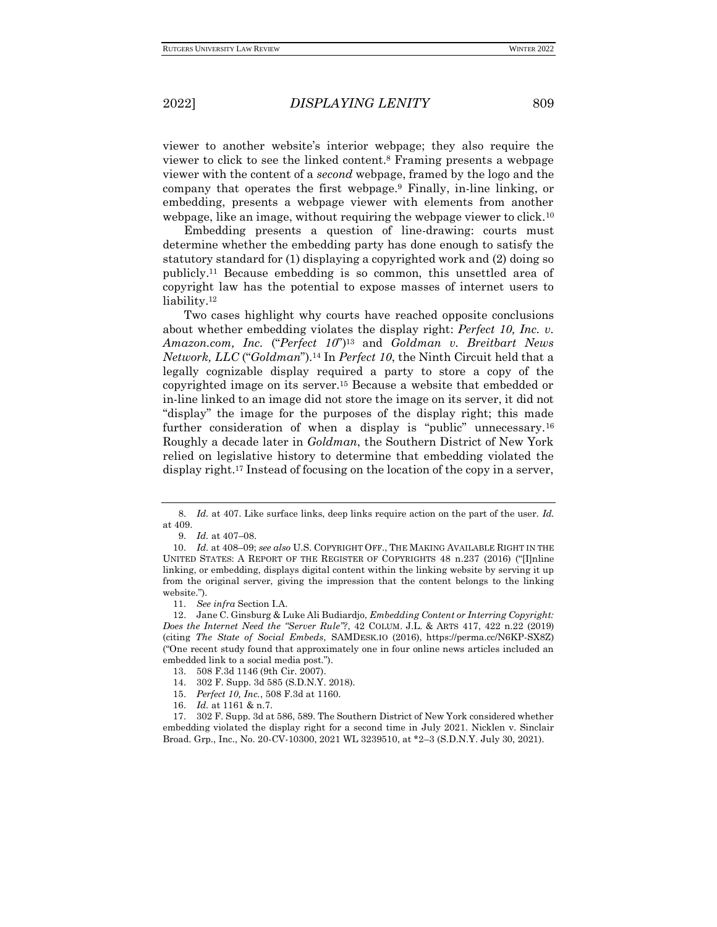viewer to another website's interior webpage; they also require the viewer to click to see the linked content.<sup>8</sup> Framing presents a webpage viewer with the content of a *second* webpage, framed by the logo and the company that operates the first webpage.<sup>9</sup> Finally, in-line linking, or embedding, presents a webpage viewer with elements from another webpage, like an image, without requiring the webpage viewer to click.<sup>10</sup>

Embedding presents a question of line-drawing: courts must determine whether the embedding party has done enough to satisfy the statutory standard for (1) displaying a copyrighted work and (2) doing so publicly.<sup>11</sup> Because embedding is so common, this unsettled area of copyright law has the potential to expose masses of internet users to liability.<sup>12</sup>

Two cases highlight why courts have reached opposite conclusions about whether embedding violates the display right: *Perfect 10, Inc. v. Amazon.com, Inc.* ("*Perfect 10*")<sup>13</sup> and *Goldman v. Breitbart News Network, LLC* ("*Goldman*").<sup>14</sup> In *Perfect 10*, the Ninth Circuit held that a legally cognizable display required a party to store a copy of the copyrighted image on its server.<sup>15</sup> Because a website that embedded or in-line linked to an image did not store the image on its server, it did not "display" the image for the purposes of the display right; this made further consideration of when a display is "public" unnecessary.<sup>16</sup> Roughly a decade later in *Goldman*, the Southern District of New York relied on legislative history to determine that embedding violated the display right.<sup>17</sup> Instead of focusing on the location of the copy in a server,

16. *Id.* at 1161 & n.7.

17. 302 F. Supp. 3d at 586, 589. The Southern District of New York considered whether embedding violated the display right for a second time in July 2021. Nicklen v. Sinclair Broad. Grp., Inc., No. 20-CV-10300, 2021 WL 3239510, at \*2–3 (S.D.N.Y. July 30, 2021).

<sup>8.</sup> *Id.* at 407. Like surface links, deep links require action on the part of the user. *Id.*  at 409.

<sup>9.</sup> *Id.* at 407–08.

<sup>10.</sup> *Id.* at 408–09; *see also* U.S. COPYRIGHT OFF., THE MAKING AVAILABLE RIGHT IN THE UNITED STATES: A REPORT OF THE REGISTER OF COPYRIGHTS 48 n.237 (2016) ("[I]nline linking, or embedding, displays digital content within the linking website by serving it up from the original server, giving the impression that the content belongs to the linking website.").

<sup>11.</sup> *See infra* Section I.A.

<sup>12.</sup> Jane C. Ginsburg & Luke Ali Budiardjo, *Embedding Content or Interring Copyright: Does the Internet Need the "Server Rule"?*, 42 COLUM. J.L. & ARTS 417, 422 n.22 (2019) (citing *The State of Social Embeds*, SAMDESK.IO (2016), https://perma.cc/N6KP-SX8Z) ("One recent study found that approximately one in four online news articles included an embedded link to a social media post.").

<sup>13.</sup> 508 F.3d 1146 (9th Cir. 2007).

<sup>14.</sup> 302 F. Supp. 3d 585 (S.D.N.Y. 2018).

<sup>15.</sup> *Perfect 10, Inc.*, 508 F.3d at 1160.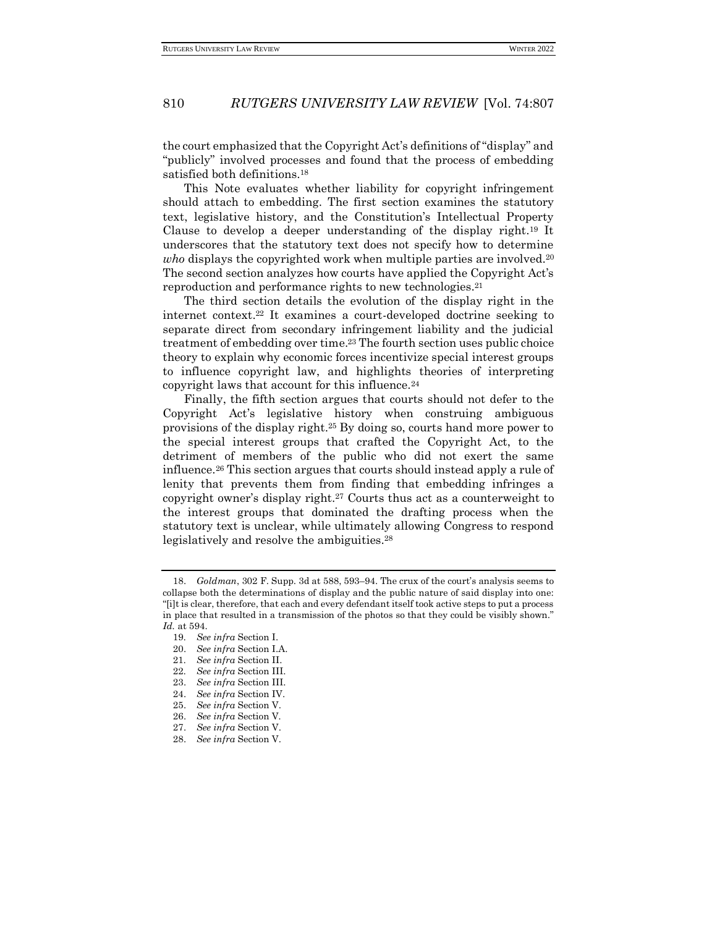the court emphasized that the Copyright Act's definitions of "display" and "publicly" involved processes and found that the process of embedding satisfied both definitions.<sup>18</sup>

This Note evaluates whether liability for copyright infringement should attach to embedding. The first section examines the statutory text, legislative history, and the Constitution's Intellectual Property Clause to develop a deeper understanding of the display right.<sup>19</sup> It underscores that the statutory text does not specify how to determine *who* displays the copyrighted work when multiple parties are involved.<sup>20</sup> The second section analyzes how courts have applied the Copyright Act's reproduction and performance rights to new technologies.<sup>21</sup>

The third section details the evolution of the display right in the internet context.<sup>22</sup> It examines a court-developed doctrine seeking to separate direct from secondary infringement liability and the judicial treatment of embedding over time.<sup>23</sup> The fourth section uses public choice theory to explain why economic forces incentivize special interest groups to influence copyright law, and highlights theories of interpreting copyright laws that account for this influence.<sup>24</sup>

Finally, the fifth section argues that courts should not defer to the Copyright Act's legislative history when construing ambiguous provisions of the display right.<sup>25</sup> By doing so, courts hand more power to the special interest groups that crafted the Copyright Act, to the detriment of members of the public who did not exert the same influence.<sup>26</sup> This section argues that courts should instead apply a rule of lenity that prevents them from finding that embedding infringes a copyright owner's display right.<sup>27</sup> Courts thus act as a counterweight to the interest groups that dominated the drafting process when the statutory text is unclear, while ultimately allowing Congress to respond legislatively and resolve the ambiguities.<sup>28</sup>

<sup>18.</sup> *Goldman*, 302 F. Supp. 3d at 588, 593–94. The crux of the court's analysis seems to collapse both the determinations of display and the public nature of said display into one: "[i]t is clear, therefore, that each and every defendant itself took active steps to put a process in place that resulted in a transmission of the photos so that they could be visibly shown." *Id.* at 594.

<sup>19</sup>*. See infra* Section I.

<sup>20.</sup> *See infra* Section I.A.

<sup>21</sup>*. See infra* Section II.

<sup>22</sup>*. See infra* Section III.

<sup>23.</sup> *See infra* Section III.

<sup>24.</sup> *See infra* Section IV.

<sup>25.</sup> *See infra* Section V.

<sup>26.</sup> *See infra* Section V*.*

<sup>27.</sup> *See infra* Section V.

<sup>28.</sup> *See infra* Section V.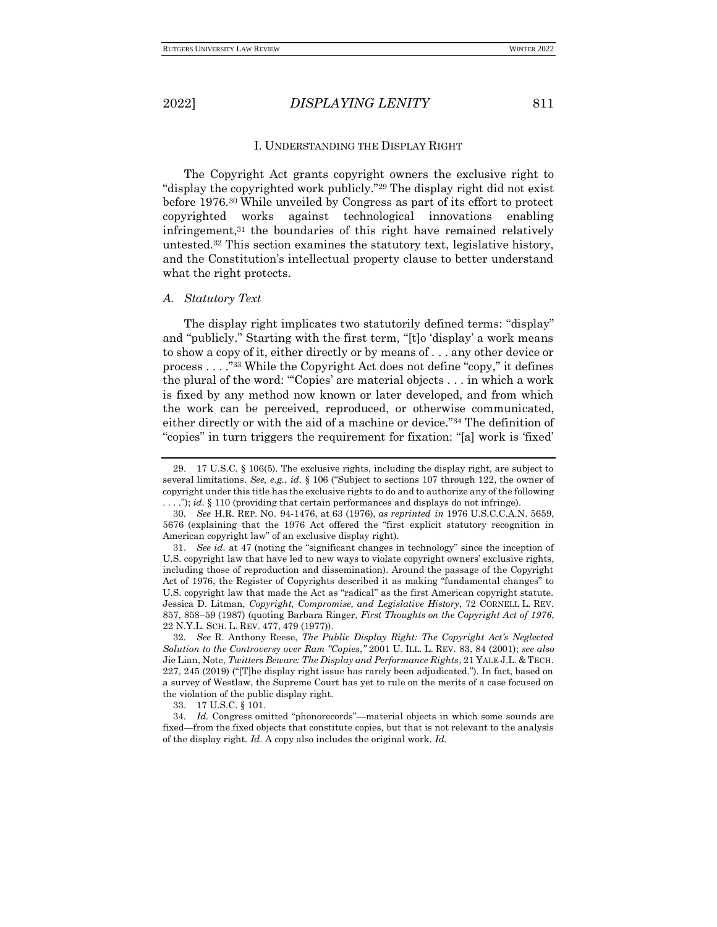#### I. UNDERSTANDING THE DISPLAY RIGHT

The Copyright Act grants copyright owners the exclusive right to "display the copyrighted work publicly."<sup>29</sup> The display right did not exist before 1976.<sup>30</sup> While unveiled by Congress as part of its effort to protect copyrighted works against technological innovations enabling infringement,<sup>31</sup> the boundaries of this right have remained relatively untested.<sup>32</sup> This section examines the statutory text, legislative history, and the Constitution's intellectual property clause to better understand what the right protects.

#### *A. Statutory Text*

The display right implicates two statutorily defined terms: "display" and "publicly." Starting with the first term, "[t]o 'display' a work means to show a copy of it, either directly or by means of . . . any other device or process . . . ."<sup>33</sup> While the Copyright Act does not define "copy," it defines the plural of the word: "'Copies' are material objects . . . in which a work is fixed by any method now known or later developed, and from which the work can be perceived, reproduced, or otherwise communicated, either directly or with the aid of a machine or device."<sup>34</sup> The definition of "copies" in turn triggers the requirement for fixation: "[a] work is 'fixed'

<sup>29.</sup> 17 U.S.C. § 106(5). The exclusive rights, including the display right, are subject to several limitations. *See, e.g.*, *id.* § 106 ("Subject to sections 107 through 122, the owner of copyright under this title has the exclusive rights to do and to authorize any of the following . . . ."); *id.* § 110 (providing that certain performances and displays do not infringe).

<sup>30</sup>*. See* H.R. REP. NO. 94-1476, at 63 (1976), *as reprinted in* 1976 U.S.C.C.A.N. 5659, 5676 (explaining that the 1976 Act offered the "first explicit statutory recognition in American copyright law" of an exclusive display right).

<sup>31.</sup> *See id.* at 47 (noting the "significant changes in technology" since the inception of U.S. copyright law that have led to new ways to violate copyright owners' exclusive rights, including those of reproduction and dissemination). Around the passage of the Copyright Act of 1976, the Register of Copyrights described it as making "fundamental changes" to U.S. copyright law that made the Act as "radical" as the first American copyright statute. Jessica D. Litman, *Copyright, Compromise, and Legislative History*, 72 CORNELL L. REV. 857, 858–59 (1987) (quoting Barbara Ringer, *First Thoughts on the Copyright Act of 1976*, 22 N.Y.L. SCH. L. REV. 477, 479 (1977)).

<sup>32</sup>*. See* R. Anthony Reese, *The Public Display Right: The Copyright Act's Neglected Solution to the Controversy over Ram "Copies*,*"* 2001 U. ILL. L. REV. 83, 84 (2001); *see also* Jie Lian, Note, *Twitters Beware: The Display and Performance Rights*, 21 YALE J.L. & TECH. 227, 245 (2019) ("[T]he display right issue has rarely been adjudicated."). In fact, based on a survey of Westlaw, the Supreme Court has yet to rule on the merits of a case focused on the violation of the public display right.

<sup>33.</sup> 17 U.S.C. § 101.

<sup>34</sup>*. Id.* Congress omitted "phonorecords"—material objects in which some sounds are fixed—from the fixed objects that constitute copies, but that is not relevant to the analysis of the display right. *Id.* A copy also includes the original work. *Id.*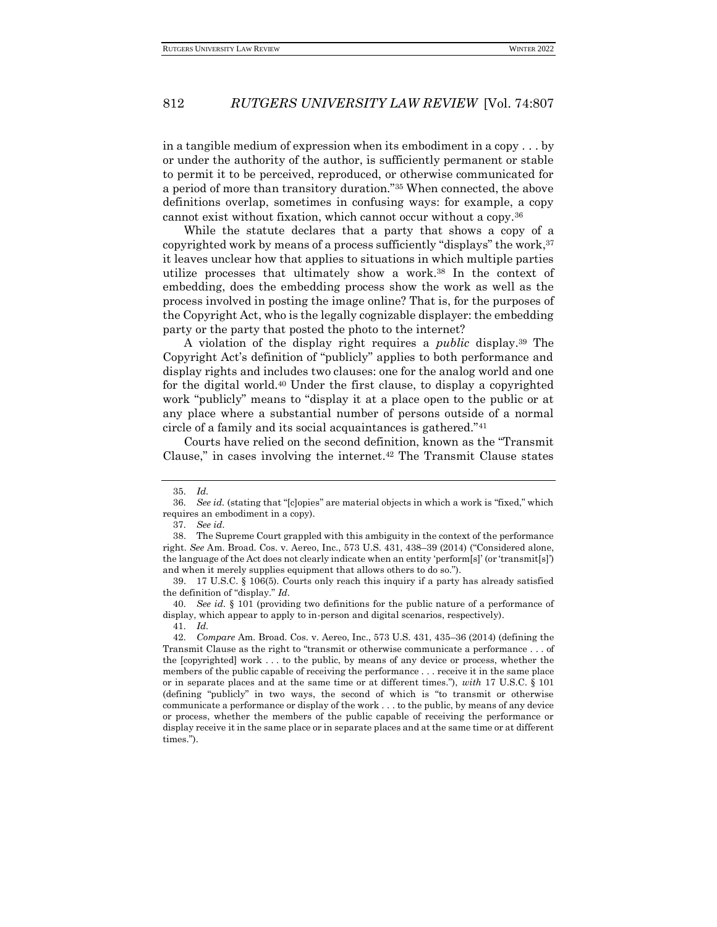in a tangible medium of expression when its embodiment in a copy . . . by or under the authority of the author, is sufficiently permanent or stable to permit it to be perceived, reproduced, or otherwise communicated for a period of more than transitory duration."<sup>35</sup> When connected, the above definitions overlap, sometimes in confusing ways: for example, a copy cannot exist without fixation, which cannot occur without a copy.<sup>36</sup>

While the statute declares that a party that shows a copy of a copyrighted work by means of a process sufficiently "displays" the work, 37 it leaves unclear how that applies to situations in which multiple parties utilize processes that ultimately show a work.<sup>38</sup> In the context of embedding, does the embedding process show the work as well as the process involved in posting the image online? That is, for the purposes of the Copyright Act, who is the legally cognizable displayer: the embedding party or the party that posted the photo to the internet?

A violation of the display right requires a *public* display.<sup>39</sup> The Copyright Act's definition of "publicly" applies to both performance and display rights and includes two clauses: one for the analog world and one for the digital world.<sup>40</sup> Under the first clause, to display a copyrighted work "publicly" means to "display it at a place open to the public or at any place where a substantial number of persons outside of a normal circle of a family and its social acquaintances is gathered."<sup>41</sup>

Courts have relied on the second definition, known as the "Transmit Clause," in cases involving the internet.<sup>42</sup> The Transmit Clause states

<sup>35</sup>*. Id.*

<sup>36</sup>*. See id.* (stating that "[c]opies" are material objects in which a work is "fixed," which requires an embodiment in a copy).

<sup>37</sup>*. See id.*

<sup>38.</sup> The Supreme Court grappled with this ambiguity in the context of the performance right. *See* Am. Broad. Cos. v. Aereo, Inc., 573 U.S. 431, 438–39 (2014) ("Considered alone, the language of the Act does not clearly indicate when an entity 'perform[s]' (or 'transmit[s]') and when it merely supplies equipment that allows others to do so.").

<sup>39.</sup> 17 U.S.C. § 106(5). Courts only reach this inquiry if a party has already satisfied the definition of "display." *Id.*

<sup>40</sup>*. See id.* § 101 (providing two definitions for the public nature of a performance of display, which appear to apply to in-person and digital scenarios, respectively). 41*. Id.*

<sup>42</sup>*. Compare* Am. Broad. Cos. v. Aereo, Inc., 573 U.S. 431, 435–36 (2014) (defining the Transmit Clause as the right to "transmit or otherwise communicate a performance . . . of the [copyrighted] work . . . to the public, by means of any device or process, whether the members of the public capable of receiving the performance . . . receive it in the same place or in separate places and at the same time or at different times."), *with* 17 U.S.C. § 101 (defining "publicly" in two ways, the second of which is "to transmit or otherwise communicate a performance or display of the work . . . to the public, by means of any device or process, whether the members of the public capable of receiving the performance or display receive it in the same place or in separate places and at the same time or at different times.").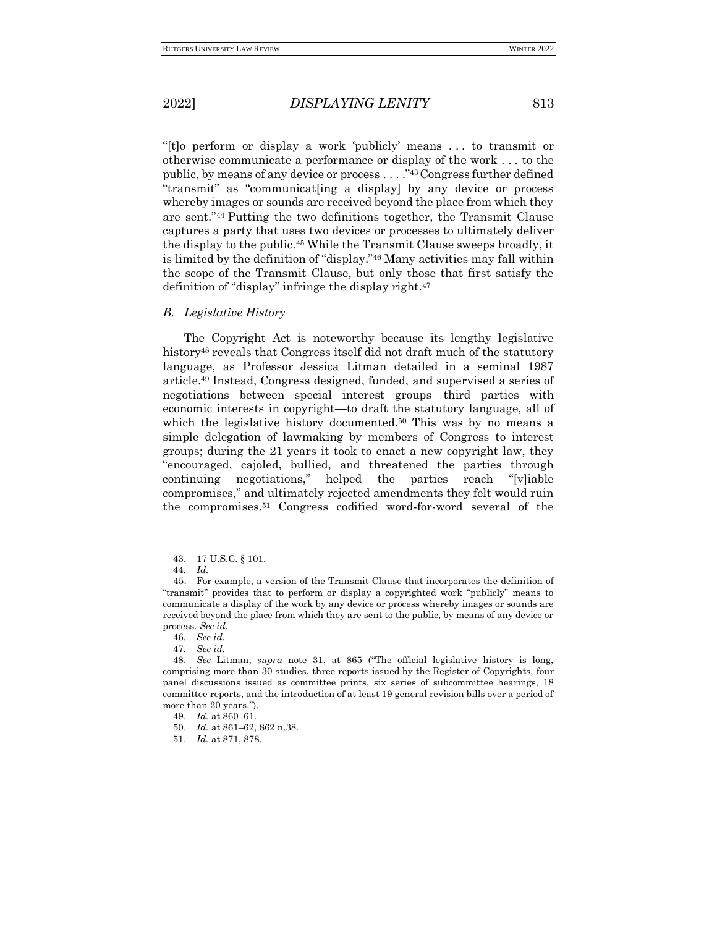"[t]o perform or display a work 'publicly' means . . . to transmit or otherwise communicate a performance or display of the work . . . to the public, by means of any device or process . . . ."43Congress further defined "transmit" as "communicat[ing a display] by any device or process whereby images or sounds are received beyond the place from which they are sent."<sup>44</sup> Putting the two definitions together, the Transmit Clause captures a party that uses two devices or processes to ultimately deliver the display to the public.<sup>45</sup> While the Transmit Clause sweeps broadly, it is limited by the definition of "display."<sup>46</sup> Many activities may fall within the scope of the Transmit Clause, but only those that first satisfy the definition of "display" infringe the display right.<sup>47</sup>

### *B. Legislative History*

The Copyright Act is noteworthy because its lengthy legislative history<sup>48</sup> reveals that Congress itself did not draft much of the statutory language, as Professor Jessica Litman detailed in a seminal 1987 article.<sup>49</sup> Instead, Congress designed, funded, and supervised a series of negotiations between special interest groups—third parties with economic interests in copyright—to draft the statutory language, all of which the legislative history documented.<sup>50</sup> This was by no means a simple delegation of lawmaking by members of Congress to interest groups; during the 21 years it took to enact a new copyright law, they "encouraged, cajoled, bullied, and threatened the parties through continuing negotiations," helped the parties reach "[v]iable compromises," and ultimately rejected amendments they felt would ruin the compromises.<sup>51</sup> Congress codified word-for-word several of the

<sup>43.</sup> 17 U.S.C. § 101.

<sup>44</sup>*. Id.*

<sup>45.</sup> For example, a version of the Transmit Clause that incorporates the definition of "transmit" provides that to perform or display a copyrighted work "publicly" means to communicate a display of the work by any device or process whereby images or sounds are received beyond the place from which they are sent to the public, by means of any device or process. *See id.*

<sup>46</sup>*. See id.*

<sup>47</sup>*. See id.*

<sup>48.</sup> *See* Litman, *supra* note 31, at 865 ("The official legislative history is long, comprising more than 30 studies, three reports issued by the Register of Copyrights, four panel discussions issued as committee prints, six series of subcommittee hearings, 18 committee reports, and the introduction of at least 19 general revision bills over a period of more than 20 years."

<sup>49.</sup> *Id.* at 860–61.

<sup>50.</sup> *Id.* at 861–62, 862 n.38.

<sup>51.</sup> *Id.* at 871, 878.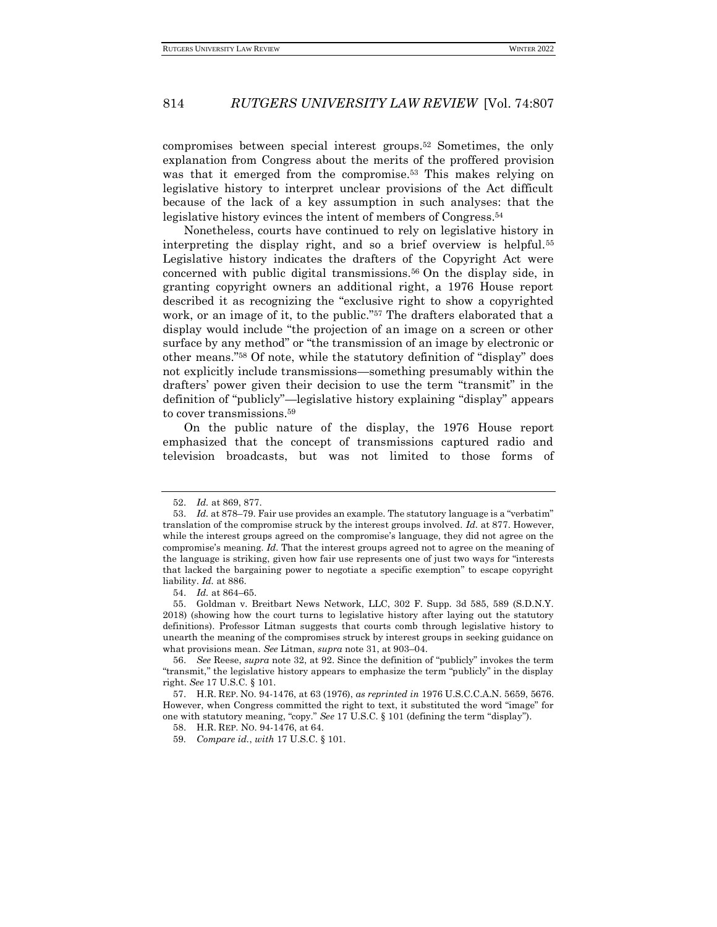compromises between special interest groups.<sup>52</sup> Sometimes, the only explanation from Congress about the merits of the proffered provision was that it emerged from the compromise.<sup>53</sup> This makes relying on legislative history to interpret unclear provisions of the Act difficult because of the lack of a key assumption in such analyses: that the legislative history evinces the intent of members of Congress.<sup>54</sup>

Nonetheless, courts have continued to rely on legislative history in interpreting the display right, and so a brief overview is helpful.<sup>55</sup> Legislative history indicates the drafters of the Copyright Act were concerned with public digital transmissions.<sup>56</sup> On the display side, in granting copyright owners an additional right, a 1976 House report described it as recognizing the "exclusive right to show a copyrighted work, or an image of it, to the public."<sup>57</sup> The drafters elaborated that a display would include "the projection of an image on a screen or other surface by any method" or "the transmission of an image by electronic or other means."<sup>58</sup> Of note, while the statutory definition of "display" does not explicitly include transmissions—something presumably within the drafters' power given their decision to use the term "transmit" in the definition of "publicly"—legislative history explaining "display" appears to cover transmissions.<sup>59</sup>

On the public nature of the display, the 1976 House report emphasized that the concept of transmissions captured radio and television broadcasts, but was not limited to those forms of

54. *Id.* at 864–65.

<sup>52.</sup> *Id.* at 869, 877.

<sup>53.</sup> *Id.* at 878–79. Fair use provides an example. The statutory language is a "verbatim" translation of the compromise struck by the interest groups involved. *Id.* at 877. However, while the interest groups agreed on the compromise's language, they did not agree on the compromise's meaning. *Id.* That the interest groups agreed not to agree on the meaning of the language is striking, given how fair use represents one of just two ways for "interests that lacked the bargaining power to negotiate a specific exemption" to escape copyright liability. *Id.* at 886.

<sup>55.</sup> Goldman v. Breitbart News Network, LLC, 302 F. Supp. 3d 585, 589 (S.D.N.Y. 2018) (showing how the court turns to legislative history after laying out the statutory definitions). Professor Litman suggests that courts comb through legislative history to unearth the meaning of the compromises struck by interest groups in seeking guidance on what provisions mean. *See* Litman, *supra* note 31, at 903–04.

<sup>56.</sup> *See* Reese, *supra* note 32, at 92. Since the definition of "publicly" invokes the term "transmit," the legislative history appears to emphasize the term "publicly" in the display right. *See* 17 U.S.C. § 101.

<sup>57.</sup> H.R. REP. NO. 94-1476, at 63 (1976), *as reprinted in* 1976 U.S.C.C.A.N. 5659, 5676. However, when Congress committed the right to text, it substituted the word "image" for one with statutory meaning, "copy." *See* 17 U.S.C. § 101 (defining the term "display").

<sup>58.</sup> H.R. REP. NO. 94-1476, at 64.

<sup>59</sup>*. Compare id.*, *with* 17 U.S.C. § 101.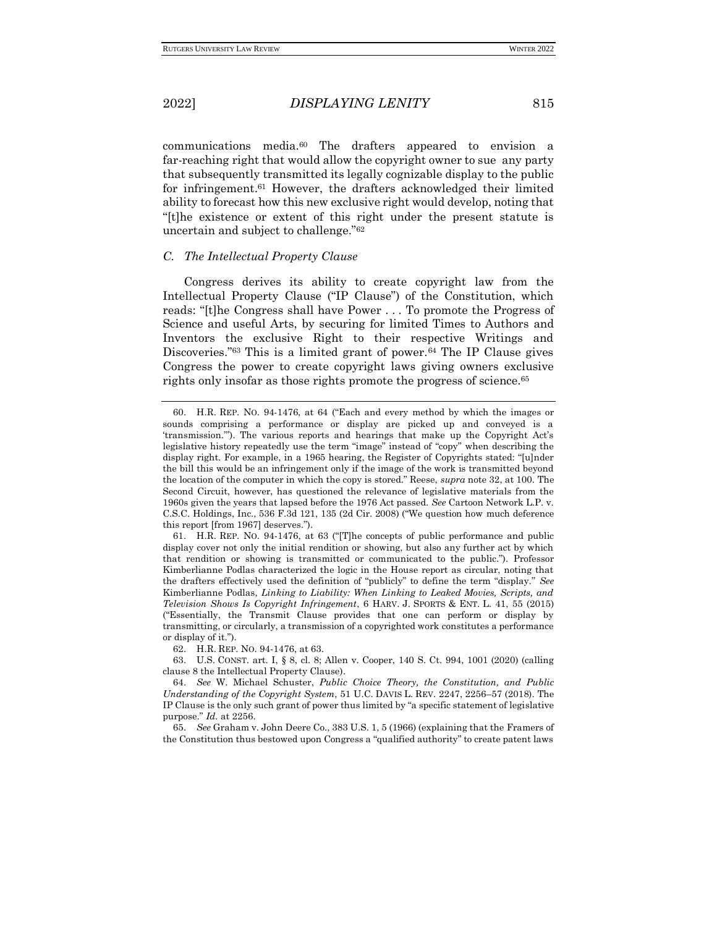communications media.<sup>60</sup> The drafters appeared to envision a far-reaching right that would allow the copyright owner to sue any party that subsequently transmitted its legally cognizable display to the public for infringement.<sup>61</sup> However, the drafters acknowledged their limited ability to forecast how this new exclusive right would develop, noting that "[t]he existence or extent of this right under the present statute is uncertain and subject to challenge."<sup>62</sup>

# *C. The Intellectual Property Clause*

Congress derives its ability to create copyright law from the Intellectual Property Clause ("IP Clause") of the Constitution, which reads: "[t]he Congress shall have Power . . . To promote the Progress of Science and useful Arts, by securing for limited Times to Authors and Inventors the exclusive Right to their respective Writings and Discoveries.<sup>"63</sup> This is a limited grant of power.<sup>64</sup> The IP Clause gives Congress the power to create copyright laws giving owners exclusive rights only insofar as those rights promote the progress of science.<sup>65</sup>

61. H.R. REP. NO. 94-1476, at 63 ("[T]he concepts of public performance and public display cover not only the initial rendition or showing, but also any further act by which that rendition or showing is transmitted or communicated to the public."). Professor Kimberlianne Podlas characterized the logic in the House report as circular, noting that the drafters effectively used the definition of "publicly" to define the term "display." *See*  Kimberlianne Podlas, *Linking to Liability: When Linking to Leaked Movies, Scripts, and Television Shows Is Copyright Infringement*, 6 HARV. J. SPORTS & ENT. L. 41, 55 (2015) ("Essentially, the Transmit Clause provides that one can perform or display by transmitting, or circularly, a transmission of a copyrighted work constitutes a performance or display of it.").

62. H.R. REP. NO. 94-1476, at 63.

63. U.S. CONST. art. I, § 8, cl. 8; Allen v. Cooper, 140 S. Ct. 994, 1001 (2020) (calling clause 8 the Intellectual Property Clause).

64. *See* W. Michael Schuster, *Public Choice Theory, the Constitution, and Public Understanding of the Copyright System*, 51 U.C. DAVIS L. REV. 2247, 2256–57 (2018). The IP Clause is the only such grant of power thus limited by "a specific statement of legislative purpose." *Id.* at 2256.

65. *See* Graham v. John Deere Co., 383 U.S. 1, 5 (1966) (explaining that the Framers of the Constitution thus bestowed upon Congress a "qualified authority" to create patent laws

<sup>60.</sup> H.R. REP. NO. 94-1476, at 64 ("Each and every method by which the images or sounds comprising a performance or display are picked up and conveyed is a 'transmission.'"). The various reports and hearings that make up the Copyright Act's legislative history repeatedly use the term "image" instead of "copy" when describing the display right. For example, in a 1965 hearing, the Register of Copyrights stated: "[u]nder the bill this would be an infringement only if the image of the work is transmitted beyond the location of the computer in which the copy is stored." Reese, *supra* note 32, at 100. The Second Circuit, however, has questioned the relevance of legislative materials from the 1960s given the years that lapsed before the 1976 Act passed. *See* Cartoon Network L.P. v. C.S.C. Holdings, Inc., 536 F.3d 121, 135 (2d Cir. 2008) ("We question how much deference this report [from 1967] deserves.").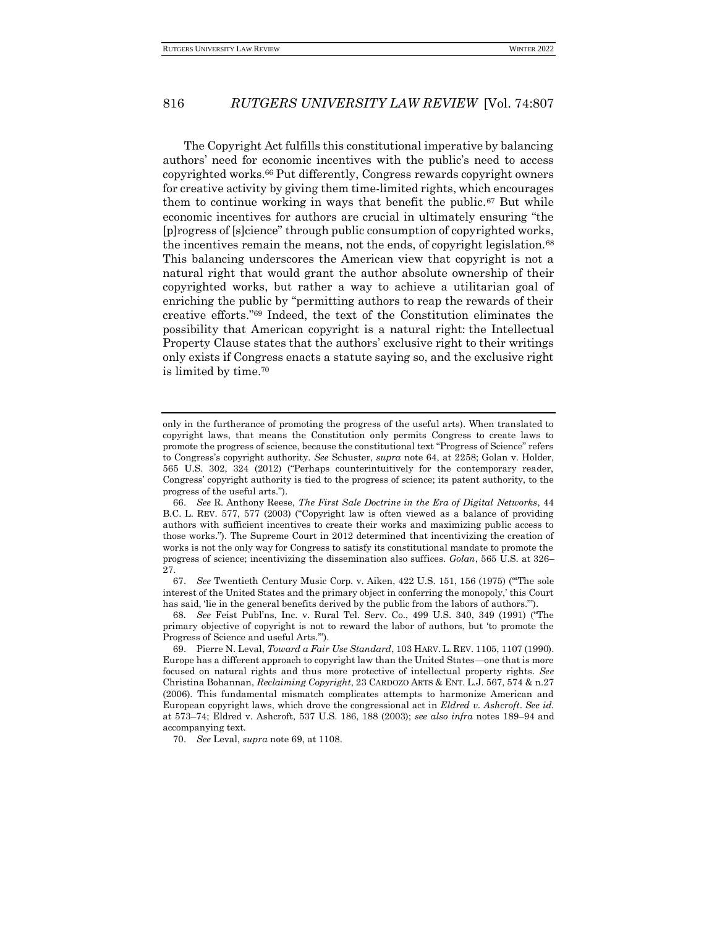The Copyright Act fulfills this constitutional imperative by balancing authors' need for economic incentives with the public's need to access copyrighted works.<sup>66</sup> Put differently, Congress rewards copyright owners for creative activity by giving them time-limited rights, which encourages them to continue working in ways that benefit the public.<sup>67</sup> But while economic incentives for authors are crucial in ultimately ensuring "the [p]rogress of [s]cience" through public consumption of copyrighted works, the incentives remain the means, not the ends, of copyright legislation.<sup>68</sup> This balancing underscores the American view that copyright is not a natural right that would grant the author absolute ownership of their copyrighted works, but rather a way to achieve a utilitarian goal of enriching the public by "permitting authors to reap the rewards of their creative efforts."<sup>69</sup> Indeed, the text of the Constitution eliminates the possibility that American copyright is a natural right: the Intellectual Property Clause states that the authors' exclusive right to their writings only exists if Congress enacts a statute saying so, and the exclusive right is limited by time.<sup>70</sup>

67. *See* Twentieth Century Music Corp. v. Aiken, 422 U.S. 151, 156 (1975) ("'The sole interest of the United States and the primary object in conferring the monopoly,' this Court has said, 'lie in the general benefits derived by the public from the labors of authors.'").

68*. See* Feist Publ'ns, Inc. v. Rural Tel. Serv. Co., 499 U.S. 340, 349 (1991) ("The primary objective of copyright is not to reward the labor of authors, but 'to promote the Progress of Science and useful Arts.'").

70. *See* Leval, *supra* note 69, at 1108.

only in the furtherance of promoting the progress of the useful arts). When translated to copyright laws, that means the Constitution only permits Congress to create laws to promote the progress of science, because the constitutional text "Progress of Science" refers to Congress's copyright authority. *See* Schuster, *supra* note 64, at 2258; Golan v. Holder, 565 U.S. 302, 324 (2012) ("Perhaps counterintuitively for the contemporary reader, Congress' copyright authority is tied to the progress of science; its patent authority, to the progress of the useful arts.").

<sup>66.</sup> *See* R. Anthony Reese, *The First Sale Doctrine in the Era of Digital Networks*, 44 B.C. L. REV. 577, 577 (2003) ("Copyright law is often viewed as a balance of providing authors with sufficient incentives to create their works and maximizing public access to those works."). The Supreme Court in 2012 determined that incentivizing the creation of works is not the only way for Congress to satisfy its constitutional mandate to promote the progress of science; incentivizing the dissemination also suffices. *Golan*, 565 U.S. at 326– 27.

<sup>69.</sup> Pierre N. Leval, *Toward a Fair Use Standard*, 103 HARV. L. REV. 1105, 1107 (1990). Europe has a different approach to copyright law than the United States—one that is more focused on natural rights and thus more protective of intellectual property rights. *See*  Christina Bohannan, *Reclaiming Copyright*, 23 CARDOZO ARTS & ENT. L.J. 567, 574 & n.27 (2006). This fundamental mismatch complicates attempts to harmonize American and European copyright laws, which drove the congressional act in *Eldred v. Ashcroft*. *See id.* at 573–74; Eldred v. Ashcroft, 537 U.S. 186, 188 (2003); *see also infra* notes 189–94 and accompanying text.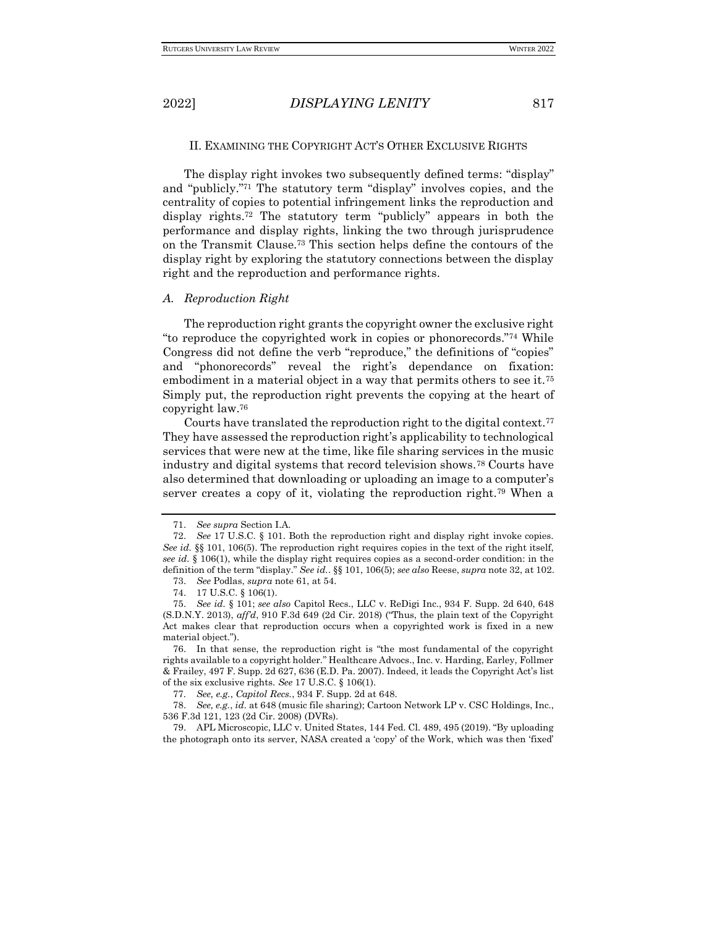#### II. EXAMINING THE COPYRIGHT ACT'S OTHER EXCLUSIVE RIGHTS

The display right invokes two subsequently defined terms: "display" and "publicly." <sup>71</sup> The statutory term "display" involves copies, and the centrality of copies to potential infringement links the reproduction and display rights.<sup>72</sup> The statutory term "publicly" appears in both the performance and display rights, linking the two through jurisprudence on the Transmit Clause.<sup>73</sup> This section helps define the contours of the display right by exploring the statutory connections between the display right and the reproduction and performance rights.

#### *A. Reproduction Right*

The reproduction right grants the copyright owner the exclusive right "to reproduce the copyrighted work in copies or phonorecords."<sup>74</sup> While Congress did not define the verb "reproduce," the definitions of "copies" and "phonorecords" reveal the right's dependance on fixation: embodiment in a material object in a way that permits others to see it.<sup>75</sup> Simply put, the reproduction right prevents the copying at the heart of copyright law.<sup>76</sup>

Courts have translated the reproduction right to the digital context.<sup>77</sup> They have assessed the reproduction right's applicability to technological services that were new at the time, like file sharing services in the music industry and digital systems that record television shows.<sup>78</sup> Courts have also determined that downloading or uploading an image to a computer's server creates a copy of it, violating the reproduction right.<sup>79</sup> When a

<sup>71.</sup> *See supra* Section I.A.

<sup>72.</sup> *See* 17 U.S.C. § 101. Both the reproduction right and display right invoke copies. *See id.* §§ 101, 106(5). The reproduction right requires copies in the text of the right itself, *see id.* § 106(1), while the display right requires copies as a second-order condition: in the definition of the term "display." *See id.*. §§ 101, 106(5); *see also* Reese, *supra* note 32, at 102.

<sup>73.</sup> *See* Podlas, *supra* note 61, at 54.

<sup>74.</sup> 17 U.S.C. § 106(1).

<sup>75.</sup> *See id.* § 101; *see also* Capitol Recs., LLC v. ReDigi Inc., 934 F. Supp. 2d 640, 648 (S.D.N.Y. 2013), *aff'd*, 910 F.3d 649 (2d Cir. 2018) ("Thus, the plain text of the Copyright Act makes clear that reproduction occurs when a copyrighted work is fixed in a new material object.").

<sup>76.</sup> In that sense, the reproduction right is "the most fundamental of the copyright rights available to a copyright holder." Healthcare Advocs., Inc. v. Harding, Earley, Follmer & Frailey, 497 F. Supp. 2d 627, 636 (E.D. Pa. 2007). Indeed, it leads the Copyright Act's list of the six exclusive rights. *See* 17 U.S.C. § 106(1).

<sup>77</sup>*. See, e.g.*, *Capitol Recs.*, 934 F. Supp. 2d at 648.

<sup>78.</sup> *See, e.g.*, *id.* at 648 (music file sharing); Cartoon Network LP v. CSC Holdings, Inc., 536 F.3d 121, 123 (2d Cir. 2008) (DVRs).

<sup>79.</sup> APL Microscopic, LLC v. United States, 144 Fed. Cl. 489, 495 (2019). "By uploading the photograph onto its server, NASA created a 'copy' of the Work, which was then 'fixed'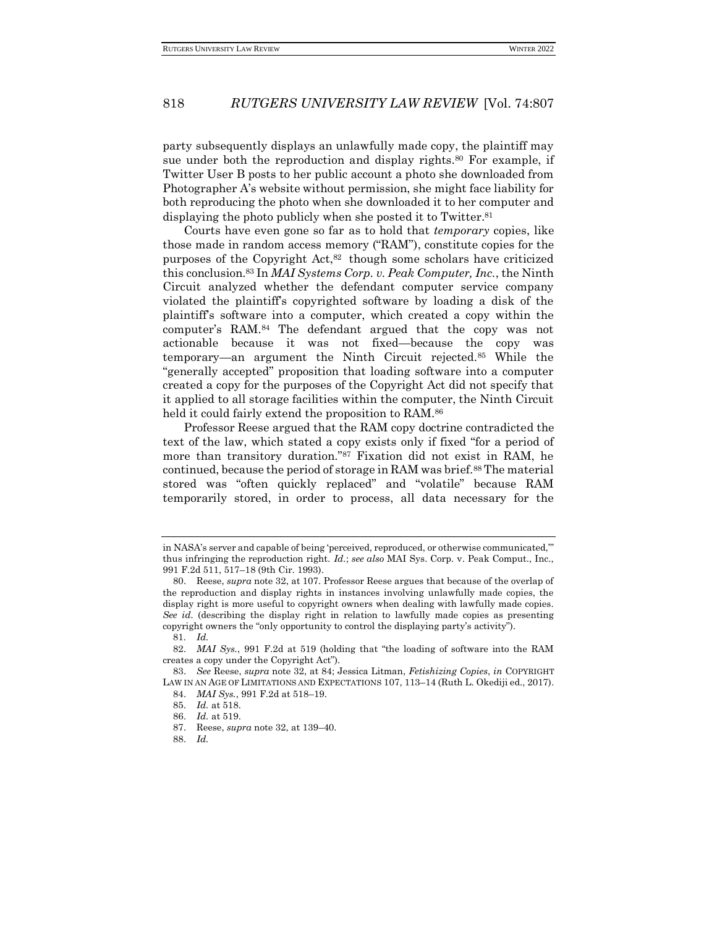party subsequently displays an unlawfully made copy, the plaintiff may sue under both the reproduction and display rights.<sup>80</sup> For example, if Twitter User B posts to her public account a photo she downloaded from Photographer A's website without permission, she might face liability for both reproducing the photo when she downloaded it to her computer and displaying the photo publicly when she posted it to Twitter.<sup>81</sup>

Courts have even gone so far as to hold that *temporary* copies, like those made in random access memory ("RAM"), constitute copies for the purposes of the Copyright Act,<sup>82</sup> though some scholars have criticized this conclusion.<sup>83</sup> In *MAI Systems Corp. v. Peak Computer, Inc.*, the Ninth Circuit analyzed whether the defendant computer service company violated the plaintiff's copyrighted software by loading a disk of the plaintiff's software into a computer, which created a copy within the computer's RAM.<sup>84</sup> The defendant argued that the copy was not actionable because it was not fixed—because the copy was temporary—an argument the Ninth Circuit rejected.<sup>85</sup> While the "generally accepted" proposition that loading software into a computer created a copy for the purposes of the Copyright Act did not specify that it applied to all storage facilities within the computer, the Ninth Circuit held it could fairly extend the proposition to RAM.<sup>86</sup>

Professor Reese argued that the RAM copy doctrine contradicted the text of the law, which stated a copy exists only if fixed "for a period of more than transitory duration."<sup>87</sup> Fixation did not exist in RAM, he continued, because the period of storage in RAM was brief.<sup>88</sup> The material stored was "often quickly replaced" and "volatile" because RAM temporarily stored, in order to process, all data necessary for the

in NASA's server and capable of being 'perceived, reproduced, or otherwise communicated,'" thus infringing the reproduction right*. Id.*; *see also* MAI Sys. Corp. v. Peak Comput., Inc., 991 F.2d 511, 517–18 (9th Cir. 1993).

<sup>80.</sup> Reese, *supra* note 32, at 107. Professor Reese argues that because of the overlap of the reproduction and display rights in instances involving unlawfully made copies, the display right is more useful to copyright owners when dealing with lawfully made copies. *See id.* (describing the display right in relation to lawfully made copies as presenting copyright owners the "only opportunity to control the displaying party's activity").

<sup>81</sup>*. Id.*

<sup>82.</sup> *MAI Sys.*, 991 F.2d at 519 (holding that "the loading of software into the RAM creates a copy under the Copyright Act").

<sup>83.</sup> *See* Reese, *supra* note 32, at 84; Jessica Litman, *Fetishizing Copies*, *in* COPYRIGHT LAW IN AN AGE OF LIMITATIONS AND EXPECTATIONS 107, 113–14 (Ruth L. Okediji ed., 2017).

<sup>84.</sup> *MAI Sys.*, 991 F.2d at 518–19.

<sup>85.</sup> *Id.* at 518.

<sup>86.</sup> *Id.* at 519.

<sup>87.</sup> Reese, *supra* note 32, at 139–40.

<sup>88.</sup> *Id.*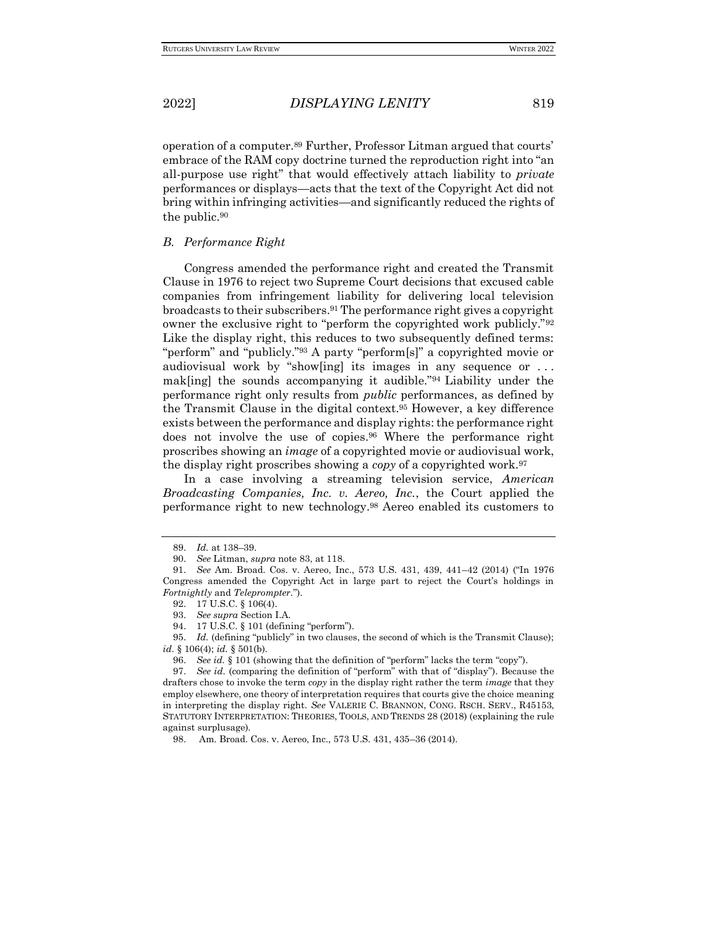operation of a computer.<sup>89</sup> Further, Professor Litman argued that courts' embrace of the RAM copy doctrine turned the reproduction right into "an all-purpose use right" that would effectively attach liability to *private* performances or displays—acts that the text of the Copyright Act did not bring within infringing activities—and significantly reduced the rights of the public.<sup>90</sup>

### *B. Performance Right*

Congress amended the performance right and created the Transmit Clause in 1976 to reject two Supreme Court decisions that excused cable companies from infringement liability for delivering local television broadcasts to their subscribers.<sup>91</sup> The performance right gives a copyright owner the exclusive right to "perform the copyrighted work publicly."<sup>92</sup> Like the display right, this reduces to two subsequently defined terms: "perform" and "publicly."<sup>93</sup> A party "perform[s]" a copyrighted movie or audiovisual work by "show[ing] its images in any sequence or . . . mak[ing] the sounds accompanying it audible."<sup>94</sup> Liability under the performance right only results from *public* performances, as defined by the Transmit Clause in the digital context.<sup>95</sup> However, a key difference exists between the performance and display rights: the performance right does not involve the use of copies.<sup>96</sup> Where the performance right proscribes showing an *image* of a copyrighted movie or audiovisual work, the display right proscribes showing a *copy* of a copyrighted work.<sup>97</sup>

In a case involving a streaming television service, *American Broadcasting Companies, Inc. v. Aereo, Inc.*, the Court applied the performance right to new technology.<sup>98</sup> Aereo enabled its customers to

<sup>89.</sup> *Id.* at 138–39.

<sup>90.</sup> *See* Litman, *supra* note 83, at 118.

<sup>91.</sup> *See* Am. Broad. Cos. v. Aereo, Inc., 573 U.S. 431, 439, 441–42 (2014) ("In 1976 Congress amended the Copyright Act in large part to reject the Court's holdings in *Fortnightly* and *Teleprompter*.").

<sup>92.</sup> 17 U.S.C. § 106(4).

<sup>93.</sup> *See supra* Section I.A.

<sup>94.</sup> 17 U.S.C. § 101 (defining "perform").

<sup>95.</sup> *Id.* (defining "publicly" in two clauses, the second of which is the Transmit Clause); *id.* § 106(4); *id.* § 501(b).

<sup>96.</sup> *See id.* § 101 (showing that the definition of "perform" lacks the term "copy").

<sup>97.</sup> *See id.* (comparing the definition of "perform" with that of "display"). Because the drafters chose to invoke the term *copy* in the display right rather the term *image* that they employ elsewhere, one theory of interpretation requires that courts give the choice meaning in interpreting the display right. *See* VALERIE C. BRANNON, CONG. RSCH. SERV., R45153, STATUTORY INTERPRETATION: THEORIES, TOOLS, AND TRENDS 28 (2018) (explaining the rule against surplusage).

<sup>98.</sup> Am. Broad. Cos. v. Aereo, Inc., 573 U.S. 431, 435–36 (2014).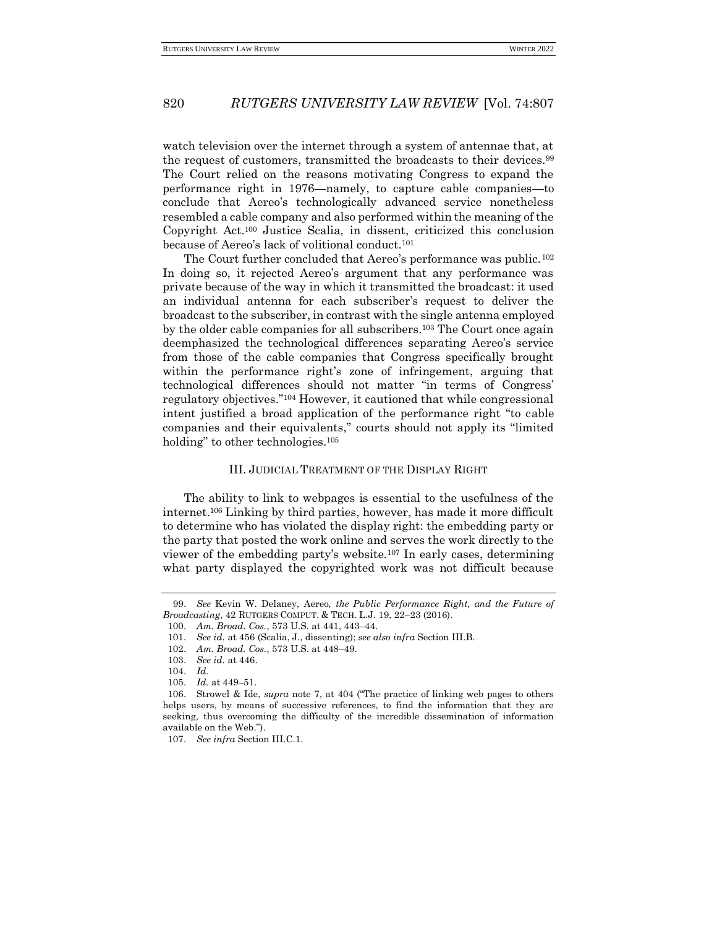watch television over the internet through a system of antennae that, at the request of customers, transmitted the broadcasts to their devices.<sup>99</sup> The Court relied on the reasons motivating Congress to expand the performance right in 1976—namely, to capture cable companies—to conclude that Aereo's technologically advanced service nonetheless resembled a cable company and also performed within the meaning of the Copyright Act.<sup>100</sup> Justice Scalia, in dissent, criticized this conclusion because of Aereo's lack of volitional conduct.<sup>101</sup>

The Court further concluded that Aereo's performance was public.<sup>102</sup> In doing so, it rejected Aereo's argument that any performance was private because of the way in which it transmitted the broadcast: it used an individual antenna for each subscriber's request to deliver the broadcast to the subscriber, in contrast with the single antenna employed by the older cable companies for all subscribers.<sup>103</sup> The Court once again deemphasized the technological differences separating Aereo's service from those of the cable companies that Congress specifically brought within the performance right's zone of infringement, arguing that technological differences should not matter "in terms of Congress' regulatory objectives."<sup>104</sup> However, it cautioned that while congressional intent justified a broad application of the performance right "to cable companies and their equivalents," courts should not apply its "limited holding" to other technologies.<sup>105</sup>

## III. JUDICIAL TREATMENT OF THE DISPLAY RIGHT

The ability to link to webpages is essential to the usefulness of the internet.<sup>106</sup> Linking by third parties, however, has made it more difficult to determine who has violated the display right: the embedding party or the party that posted the work online and serves the work directly to the viewer of the embedding party's website.<sup>107</sup> In early cases, determining what party displayed the copyrighted work was not difficult because

<sup>99.</sup> *See* Kevin W. Delaney, Aereo*, the Public Performance Right, and the Future of Broadcasting*, 42 RUTGERS COMPUT. & TECH. L.J. 19, 22–23 (2016).

<sup>100.</sup> *Am. Broad. Cos.*, 573 U.S. at 441, 443–44.

<sup>101.</sup> *See id.* at 456 (Scalia, J., dissenting); *see also infra* Section III.B.

<sup>102.</sup> *Am. Broad. Cos.*, 573 U.S. at 448–49.

<sup>103.</sup> *See id.* at 446.

<sup>104.</sup> *Id.*

<sup>105.</sup> *Id.* at 449–51.

<sup>106.</sup> Strowel & Ide, *supra* note 7, at 404 ("The practice of linking web pages to others helps users, by means of successive references, to find the information that they are seeking, thus overcoming the difficulty of the incredible dissemination of information available on the Web.").

<sup>107.</sup> *See infra* Section III.C.1.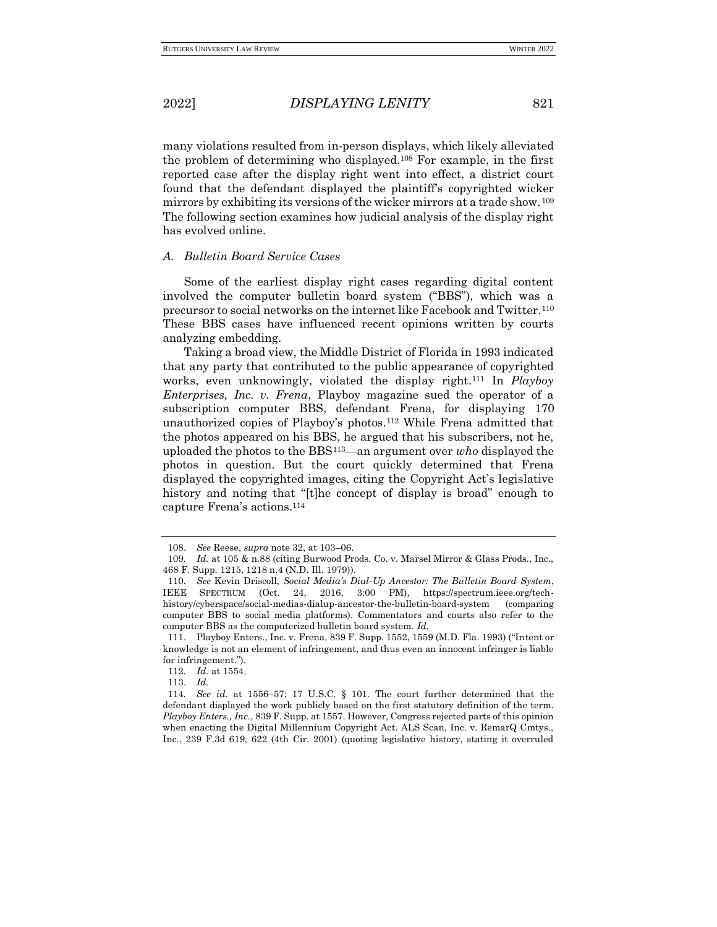many violations resulted from in-person displays, which likely alleviated the problem of determining who displayed.<sup>108</sup> For example, in the first reported case after the display right went into effect, a district court found that the defendant displayed the plaintiff's copyrighted wicker mirrors by exhibiting its versions of the wicker mirrors at a trade show. <sup>109</sup> The following section examines how judicial analysis of the display right has evolved online.

## *A. Bulletin Board Service Cases*

Some of the earliest display right cases regarding digital content involved the computer bulletin board system ("BBS"), which was a precursor to social networks on the internet like Facebook and Twitter.<sup>110</sup> These BBS cases have influenced recent opinions written by courts analyzing embedding.

Taking a broad view, the Middle District of Florida in 1993 indicated that any party that contributed to the public appearance of copyrighted works, even unknowingly, violated the display right.<sup>111</sup> In *Playboy Enterprises, Inc. v. Frena*, Playboy magazine sued the operator of a subscription computer BBS, defendant Frena, for displaying 170 unauthorized copies of Playboy's photos.<sup>112</sup> While Frena admitted that the photos appeared on his BBS, he argued that his subscribers, not he, uploaded the photos to the BBS113—an argument over *who* displayed the photos in question. But the court quickly determined that Frena displayed the copyrighted images, citing the Copyright Act's legislative history and noting that "[t]he concept of display is broad" enough to capture Frena's actions.<sup>114</sup>

<sup>108.</sup> *See* Reese, *supra* note 32, at 103–06.

<sup>109</sup>*. Id.* at 105 & n.88 (citing Burwood Prods. Co. v. Marsel Mirror & Glass Prods., Inc., 468 F. Supp. 1215, 1218 n.4 (N.D. Ill. 1979)).

<sup>110</sup>*. See* Kevin Driscoll, *Social Media's Dial-Up Ancestor: The Bulletin Board System*, IEEE SPECTRUM (Oct. 24, 2016, 3:00 PM), https://spectrum.ieee.org/techhistory/cyberspace/social-medias-dialup-ancestor-the-bulletin-board-system (comparing computer BBS to social media platforms). Commentators and courts also refer to the computer BBS as the computerized bulletin board system. *Id.*

<sup>111.</sup> Playboy Enters., Inc. v. Frena, 839 F. Supp. 1552, 1559 (M.D. Fla. 1993) ("Intent or knowledge is not an element of infringement, and thus even an innocent infringer is liable for infringement.").

<sup>112</sup>*. Id.* at 1554.

<sup>113.</sup> *Id.* 

<sup>114</sup>*. See id.* at 1556–57; 17 U.S.C. § 101. The court further determined that the defendant displayed the work publicly based on the first statutory definition of the term. *Playboy Enters., Inc.*, 839 F. Supp. at 1557. However, Congress rejected parts of this opinion when enacting the Digital Millennium Copyright Act. ALS Scan, Inc. v. RemarQ Cmtys., Inc., 239 F.3d 619, 622 (4th Cir. 2001) (quoting legislative history, stating it overruled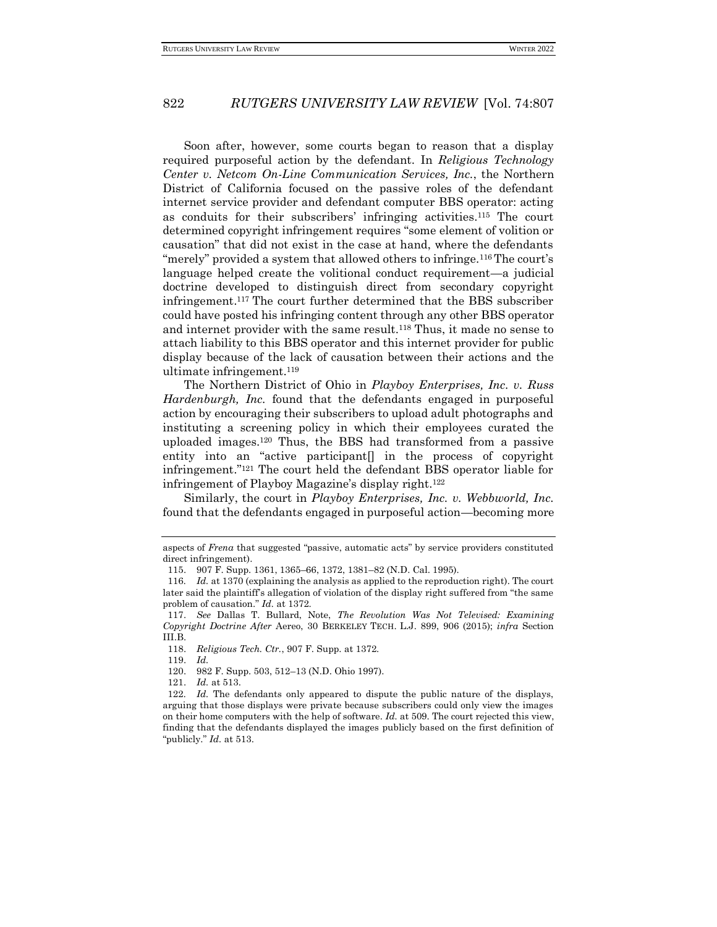Soon after, however, some courts began to reason that a display required purposeful action by the defendant. In *Religious Technology Center v. Netcom On-Line Communication Services, Inc.*, the Northern District of California focused on the passive roles of the defendant internet service provider and defendant computer BBS operator: acting as conduits for their subscribers' infringing activities.<sup>115</sup> The court determined copyright infringement requires "some element of volition or causation" that did not exist in the case at hand, where the defendants "merely" provided a system that allowed others to infringe.<sup>116</sup>The court's language helped create the volitional conduct requirement—a judicial doctrine developed to distinguish direct from secondary copyright infringement.<sup>117</sup> The court further determined that the BBS subscriber could have posted his infringing content through any other BBS operator and internet provider with the same result.<sup>118</sup> Thus, it made no sense to attach liability to this BBS operator and this internet provider for public display because of the lack of causation between their actions and the ultimate infringement.<sup>119</sup>

The Northern District of Ohio in *Playboy Enterprises, Inc. v. Russ Hardenburgh, Inc.* found that the defendants engaged in purposeful action by encouraging their subscribers to upload adult photographs and instituting a screening policy in which their employees curated the uploaded images.<sup>120</sup> Thus, the BBS had transformed from a passive entity into an "active participant[] in the process of copyright infringement."<sup>121</sup> The court held the defendant BBS operator liable for infringement of Playboy Magazine's display right.<sup>122</sup>

Similarly, the court in *Playboy Enterprises, Inc. v. Webbworld, Inc.*  found that the defendants engaged in purposeful action—becoming more

119. *Id.*

121. *Id.* at 513.

aspects of *Frena* that suggested "passive, automatic acts" by service providers constituted direct infringement).

<sup>115.</sup> 907 F. Supp. 1361, 1365–66, 1372, 1381–82 (N.D. Cal. 1995).

<sup>116</sup>*. Id.* at 1370 (explaining the analysis as applied to the reproduction right). The court later said the plaintiff's allegation of violation of the display right suffered from "the same problem of causation." *Id.* at 1372.

<sup>117.</sup> *See* Dallas T. Bullard, Note, *The Revolution Was Not Televised: Examining Copyright Doctrine After* Aereo, 30 BERKELEY TECH. L.J. 899, 906 (2015); *infra* Section III.B.

<sup>118.</sup> *Religious Tech. Ctr.*, 907 F. Supp. at 1372.

<sup>120.</sup> 982 F. Supp. 503, 512–13 (N.D. Ohio 1997).

<sup>122</sup>*. Id.* The defendants only appeared to dispute the public nature of the displays, arguing that those displays were private because subscribers could only view the images on their home computers with the help of software. *Id.* at 509. The court rejected this view, finding that the defendants displayed the images publicly based on the first definition of "publicly." *Id.* at 513.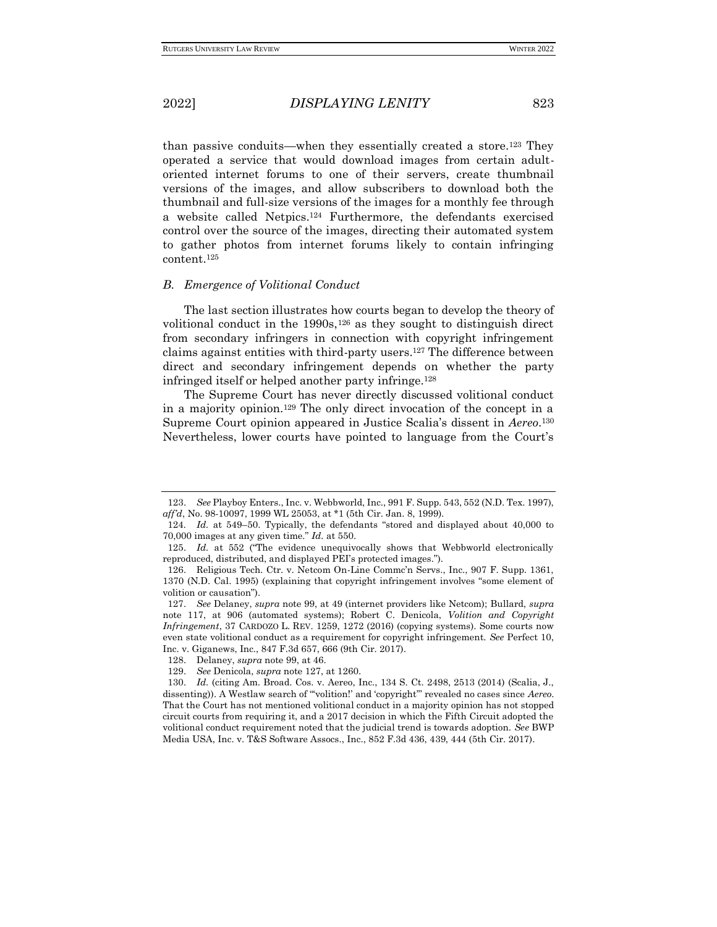than passive conduits—when they essentially created a store.<sup>123</sup> They operated a service that would download images from certain adultoriented internet forums to one of their servers, create thumbnail versions of the images, and allow subscribers to download both the thumbnail and full-size versions of the images for a monthly fee through a website called Netpics.<sup>124</sup> Furthermore, the defendants exercised control over the source of the images, directing their automated system to gather photos from internet forums likely to contain infringing content.<sup>125</sup>

### *B. Emergence of Volitional Conduct*

The last section illustrates how courts began to develop the theory of volitional conduct in the  $1990s$ ,  $126$  as they sought to distinguish direct from secondary infringers in connection with copyright infringement claims against entities with third-party users.<sup>127</sup> The difference between direct and secondary infringement depends on whether the party infringed itself or helped another party infringe.<sup>128</sup>

The Supreme Court has never directly discussed volitional conduct in a majority opinion.<sup>129</sup> The only direct invocation of the concept in a Supreme Court opinion appeared in Justice Scalia's dissent in *Aereo*. 130 Nevertheless, lower courts have pointed to language from the Court's

<sup>123.</sup> *See* Playboy Enters., Inc. v. Webbworld, Inc., 991 F. Supp. 543, 552 (N.D. Tex. 1997), *aff'd*, No. 98-10097, 1999 WL 25053, at \*1 (5th Cir. Jan. 8, 1999).

<sup>124</sup>*. Id.* at 549–50. Typically, the defendants "stored and displayed about 40,000 to 70,000 images at any given time." *Id.* at 550.

<sup>125.</sup> *Id.* at 552 ("The evidence unequivocally shows that Webbworld electronically reproduced, distributed, and displayed PEI's protected images.").

<sup>126.</sup> Religious Tech. Ctr. v. Netcom On-Line Commc'n Servs., Inc., 907 F. Supp. 1361, 1370 (N.D. Cal. 1995) (explaining that copyright infringement involves "some element of volition or causation").

<sup>127.</sup> *See* Delaney, *supra* note 99, at 49 (internet providers like Netcom); Bullard, *supra*  note 117, at 906 (automated systems); Robert C. Denicola, *Volition and Copyright Infringement*, 37 CARDOZO L. REV. 1259, 1272 (2016) (copying systems). Some courts now even state volitional conduct as a requirement for copyright infringement. *See* Perfect 10, Inc. v. Giganews, Inc., 847 F.3d 657, 666 (9th Cir. 2017).

<sup>128.</sup> Delaney, *supra* note 99, at 46.

<sup>129.</sup> *See* Denicola, *supra* note 127, at 1260.

<sup>130.</sup> *Id.* (citing Am. Broad. Cos. v. Aereo, Inc., 134 S. Ct. 2498, 2513 (2014) (Scalia, J., dissenting)). A Westlaw search of "'volition!' and 'copyright'" revealed no cases since *Aereo*. That the Court has not mentioned volitional conduct in a majority opinion has not stopped circuit courts from requiring it, and a 2017 decision in which the Fifth Circuit adopted the volitional conduct requirement noted that the judicial trend is towards adoption. *See* BWP Media USA, Inc. v. T&S Software Assocs., Inc., 852 F.3d 436, 439, 444 (5th Cir. 2017).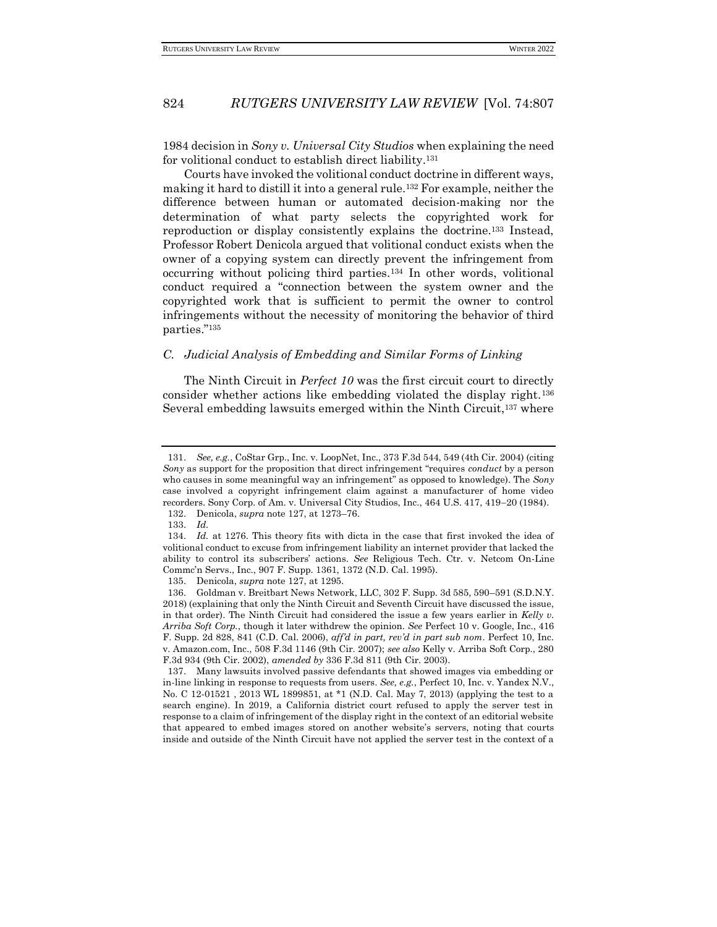1984 decision in *Sony v. Universal City Studios* when explaining the need for volitional conduct to establish direct liability.<sup>131</sup>

Courts have invoked the volitional conduct doctrine in different ways, making it hard to distill it into a general rule.<sup>132</sup> For example, neither the difference between human or automated decision-making nor the determination of what party selects the copyrighted work for reproduction or display consistently explains the doctrine.<sup>133</sup> Instead, Professor Robert Denicola argued that volitional conduct exists when the owner of a copying system can directly prevent the infringement from occurring without policing third parties.<sup>134</sup> In other words, volitional conduct required a "connection between the system owner and the copyrighted work that is sufficient to permit the owner to control infringements without the necessity of monitoring the behavior of third parties."<sup>135</sup>

## *C. Judicial Analysis of Embedding and Similar Forms of Linking*

The Ninth Circuit in *Perfect 10* was the first circuit court to directly consider whether actions like embedding violated the display right.<sup>136</sup> Several embedding lawsuits emerged within the Ninth Circuit,<sup>137</sup> where

<sup>131.</sup> *See, e.g.*, CoStar Grp., Inc. v. LoopNet, Inc., 373 F.3d 544, 549 (4th Cir. 2004) (citing *Sony* as support for the proposition that direct infringement "requires *conduct* by a person who causes in some meaningful way an infringement" as opposed to knowledge). The *Sony* case involved a copyright infringement claim against a manufacturer of home video recorders. Sony Corp. of Am. v. Universal City Studios, Inc., 464 U.S. 417, 419−20 (1984).

<sup>132.</sup> Denicola, *supra* note 127, at 1273–76.

<sup>133.</sup> *Id.*

<sup>134.</sup> *Id.* at 1276. This theory fits with dicta in the case that first invoked the idea of volitional conduct to excuse from infringement liability an internet provider that lacked the ability to control its subscribers' actions. *See* Religious Tech. Ctr. v. Netcom On-Line Commc'n Servs., Inc., 907 F. Supp. 1361, 1372 (N.D. Cal. 1995).

<sup>135.</sup> Denicola, *supra* note 127, at 1295.

<sup>136.</sup> Goldman v. Breitbart News Network, LLC, 302 F. Supp. 3d 585, 590–591 (S.D.N.Y. 2018) (explaining that only the Ninth Circuit and Seventh Circuit have discussed the issue, in that order). The Ninth Circuit had considered the issue a few years earlier in *Kelly v. Arriba Soft Corp.*, though it later withdrew the opinion. *See* Perfect 10 v. Google, Inc., 416 F. Supp. 2d 828, 841 (C.D. Cal. 2006), *aff'd in part, rev'd in part sub nom*. Perfect 10, Inc. v. Amazon.com, Inc., 508 F.3d 1146 (9th Cir. 2007); *see also* Kelly v. Arriba Soft Corp., 280 F.3d 934 (9th Cir. 2002), *amended by* 336 F.3d 811 (9th Cir. 2003).

<sup>137.</sup> Many lawsuits involved passive defendants that showed images via embedding or in-line linking in response to requests from users. *See, e.g.*, Perfect 10, Inc. v. Yandex N.V., No. C 12-01521 , 2013 WL 1899851, at \*1 (N.D. Cal. May 7, 2013) (applying the test to a search engine). In 2019, a California district court refused to apply the server test in response to a claim of infringement of the display right in the context of an editorial website that appeared to embed images stored on another website's servers, noting that courts inside and outside of the Ninth Circuit have not applied the server test in the context of a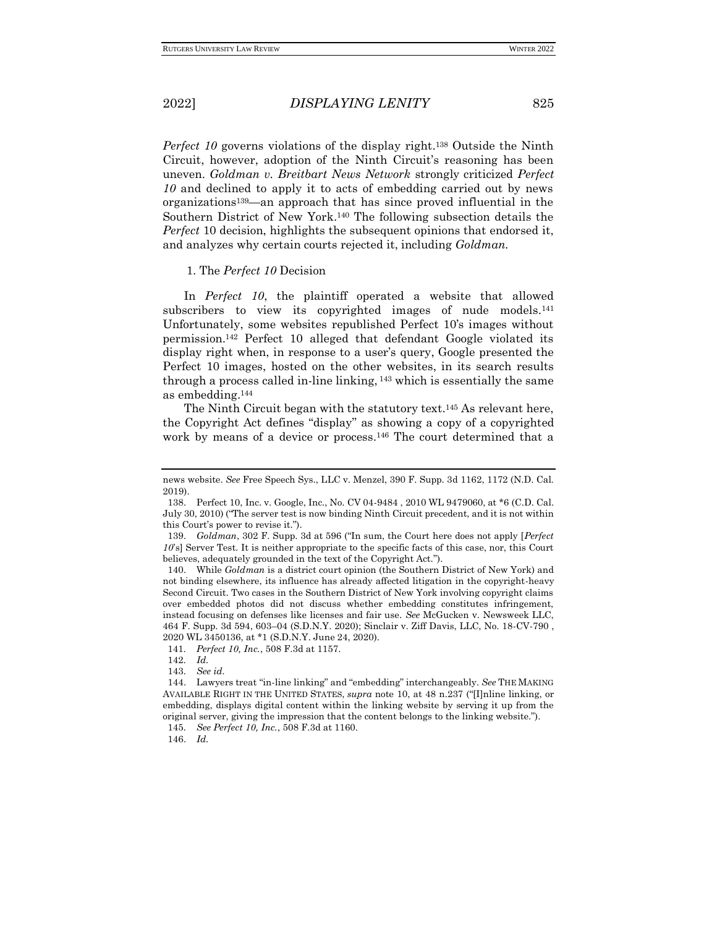*Perfect 10* governs violations of the display right.<sup>138</sup> Outside the Ninth Circuit, however, adoption of the Ninth Circuit's reasoning has been uneven. *Goldman v. Breitbart News Network* strongly criticized *Perfect 10* and declined to apply it to acts of embedding carried out by news organizations139—an approach that has since proved influential in the Southern District of New York.<sup>140</sup> The following subsection details the *Perfect* 10 decision, highlights the subsequent opinions that endorsed it, and analyzes why certain courts rejected it, including *Goldman.*

#### 1. The *Perfect 10* Decision

In *Perfect 10*, the plaintiff operated a website that allowed subscribers to view its copyrighted images of nude models.<sup>141</sup> Unfortunately, some websites republished Perfect 10's images without permission.<sup>142</sup> Perfect 10 alleged that defendant Google violated its display right when, in response to a user's query, Google presented the Perfect 10 images, hosted on the other websites, in its search results through a process called in-line linking, <sup>143</sup> which is essentially the same as embedding.<sup>144</sup>

The Ninth Circuit began with the statutory text.<sup>145</sup> As relevant here, the Copyright Act defines "display" as showing a copy of a copyrighted work by means of a device or process.<sup>146</sup> The court determined that a

146. *Id.*

news website. *See* Free Speech Sys., LLC v. Menzel, 390 F. Supp. 3d 1162, 1172 (N.D. Cal. 2019).

<sup>138.</sup> Perfect 10, Inc. v. Google, Inc., No. CV 04-9484 , 2010 WL 9479060, at \*6 (C.D. Cal. July 30, 2010) ("The server test is now binding Ninth Circuit precedent, and it is not within this Court's power to revise it.").

<sup>139.</sup> *Goldman*, 302 F. Supp. 3d at 596 ("In sum, the Court here does not apply [*Perfect 10*'s] Server Test. It is neither appropriate to the specific facts of this case, nor, this Court believes, adequately grounded in the text of the Copyright Act.").

<sup>140.</sup> While *Goldman* is a district court opinion (the Southern District of New York) and not binding elsewhere, its influence has already affected litigation in the copyright-heavy Second Circuit. Two cases in the Southern District of New York involving copyright claims over embedded photos did not discuss whether embedding constitutes infringement, instead focusing on defenses like licenses and fair use. *See* McGucken v. Newsweek LLC, 464 F. Supp. 3d 594, 603–04 (S.D.N.Y. 2020); Sinclair v. Ziff Davis, LLC, No. 18-CV-790 , 2020 WL 3450136, at \*1 (S.D.N.Y. June 24, 2020).

<sup>141</sup>*. Perfect 10, Inc.*, 508 F.3d at 1157.

<sup>142</sup>*. Id.*

<sup>143</sup>*. See id.*

<sup>144.</sup> Lawyers treat "in-line linking" and "embedding" interchangeably. *See* THE MAKING AVAILABLE RIGHT IN THE UNITED STATES, *supra* note 10, at 48 n.237 ("[I]nline linking, or embedding, displays digital content within the linking website by serving it up from the original server, giving the impression that the content belongs to the linking website.").

<sup>145</sup>*. See Perfect 10, Inc.*, 508 F.3d at 1160.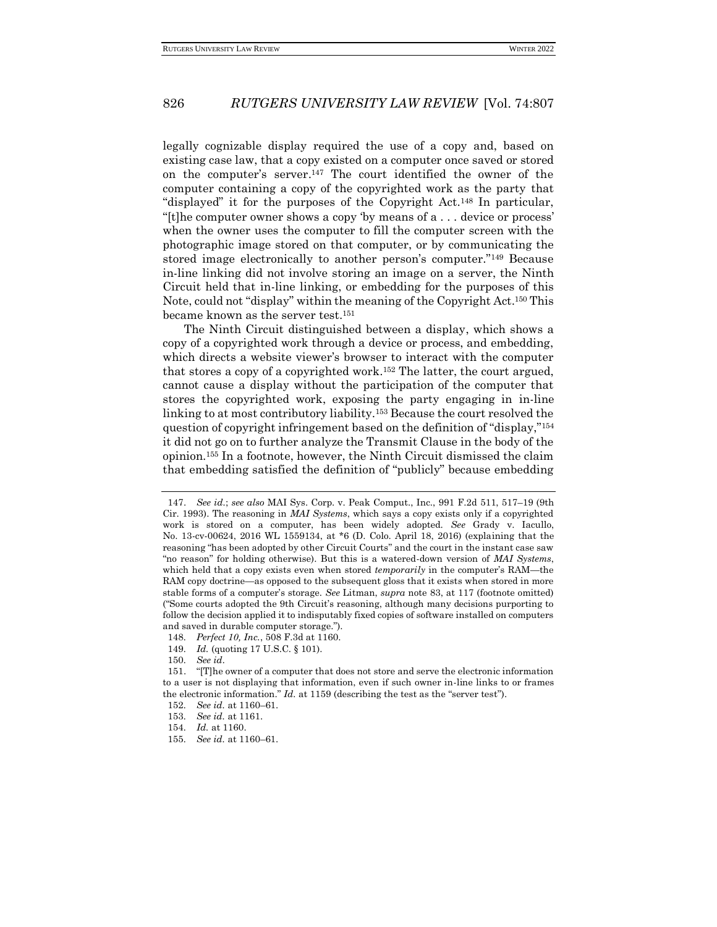legally cognizable display required the use of a copy and, based on existing case law, that a copy existed on a computer once saved or stored on the computer's server. <sup>147</sup> The court identified the owner of the computer containing a copy of the copyrighted work as the party that "displayed" it for the purposes of the Copyright Act.<sup>148</sup> In particular, "[t]he computer owner shows a copy 'by means of a . . . device or process' when the owner uses the computer to fill the computer screen with the photographic image stored on that computer, or by communicating the stored image electronically to another person's computer."<sup>149</sup> Because in-line linking did not involve storing an image on a server, the Ninth Circuit held that in-line linking, or embedding for the purposes of this Note, could not "display" within the meaning of the Copyright Act.<sup>150</sup> This became known as the server test.<sup>151</sup>

The Ninth Circuit distinguished between a display, which shows a copy of a copyrighted work through a device or process, and embedding, which directs a website viewer's browser to interact with the computer that stores a copy of a copyrighted work.<sup>152</sup> The latter, the court argued, cannot cause a display without the participation of the computer that stores the copyrighted work, exposing the party engaging in in-line linking to at most contributory liability.<sup>153</sup> Because the court resolved the question of copyright infringement based on the definition of "display,"<sup>154</sup> it did not go on to further analyze the Transmit Clause in the body of the opinion.<sup>155</sup> In a footnote, however, the Ninth Circuit dismissed the claim that embedding satisfied the definition of "publicly" because embedding

<sup>147.</sup> *See id.*; *see also* MAI Sys. Corp. v. Peak Comput., Inc., 991 F.2d 511, 517–19 (9th Cir. 1993). The reasoning in *MAI Systems*, which says a copy exists only if a copyrighted work is stored on a computer, has been widely adopted. *See* Grady v. Iacullo, No. 13-cv-00624, 2016 WL 1559134, at \*6 (D. Colo. April 18, 2016) (explaining that the reasoning "has been adopted by other Circuit Courts" and the court in the instant case saw "no reason" for holding otherwise). But this is a watered-down version of *MAI Systems*, which held that a copy exists even when stored *temporarily* in the computer's RAM—the RAM copy doctrine—as opposed to the subsequent gloss that it exists when stored in more stable forms of a computer's storage. *See* Litman, *supra* note 83, at 117 (footnote omitted) ("Some courts adopted the 9th Circuit's reasoning, although many decisions purporting to follow the decision applied it to indisputably fixed copies of software installed on computers and saved in durable computer storage.").

<sup>148</sup>*. Perfect 10, Inc.*, 508 F.3d at 1160.

<sup>149</sup>*. Id.* (quoting 17 U.S.C. § 101).

<sup>150</sup>*. See id.*

<sup>151.</sup> "[T]he owner of a computer that does not store and serve the electronic information to a user is not displaying that information, even if such owner in-line links to or frames the electronic information." *Id.* at 1159 (describing the test as the "server test").

<sup>152</sup>*. See id.* at 1160–61.

<sup>153</sup>*. See id.* at 1161.

<sup>154</sup>*. Id.* at 1160.

<sup>155</sup>*. See id.* at 1160–61.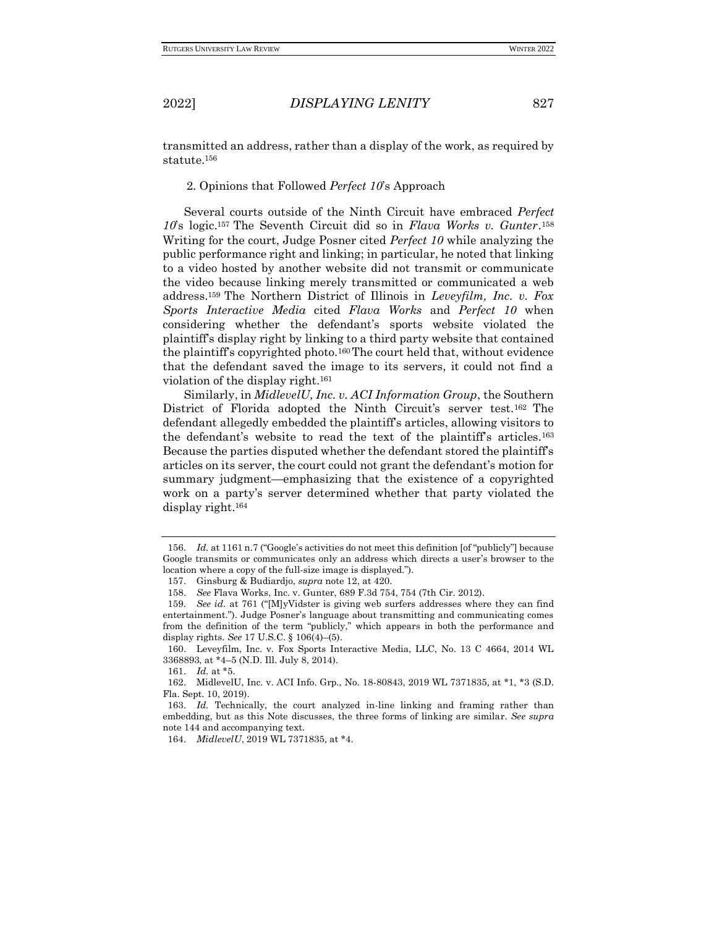transmitted an address, rather than a display of the work, as required by statute.<sup>156</sup>

2. Opinions that Followed *Perfect 10*'s Approach

Several courts outside of the Ninth Circuit have embraced *Perfect 10*'s logic.<sup>157</sup> The Seventh Circuit did so in *Flava Works v. Gunter*. 158 Writing for the court, Judge Posner cited *Perfect 10* while analyzing the public performance right and linking; in particular, he noted that linking to a video hosted by another website did not transmit or communicate the video because linking merely transmitted or communicated a web address.<sup>159</sup> The Northern District of Illinois in *Leveyfilm, Inc. v. Fox Sports Interactive Media* cited *Flava Works* and *Perfect 10* when considering whether the defendant's sports website violated the plaintiff's display right by linking to a third party website that contained the plaintiff's copyrighted photo.160The court held that, without evidence that the defendant saved the image to its servers, it could not find a violation of the display right.<sup>161</sup>

Similarly, in *MidlevelU, Inc. v. ACI Information Group*, the Southern District of Florida adopted the Ninth Circuit's server test.<sup>162</sup> The defendant allegedly embedded the plaintiff's articles, allowing visitors to the defendant's website to read the text of the plaintiff's articles.<sup>163</sup> Because the parties disputed whether the defendant stored the plaintiff's articles on its server, the court could not grant the defendant's motion for summary judgment—emphasizing that the existence of a copyrighted work on a party's server determined whether that party violated the display right.<sup>164</sup>

161. *Id.* at \*5.

<sup>156</sup>*. Id.* at 1161 n.7 ("Google's activities do not meet this definition [of "publicly"] because Google transmits or communicates only an address which directs a user's browser to the location where a copy of the full-size image is displayed.").

<sup>157.</sup> Ginsburg & Budiardjo, *supra* note 12, at 420.

<sup>158.</sup> *See* Flava Works, Inc. v. Gunter, 689 F.3d 754, 754 (7th Cir. 2012).

<sup>159</sup>*. See id.* at 761 ("[M]yVidster is giving web surfers addresses where they can find entertainment."). Judge Posner's language about transmitting and communicating comes from the definition of the term "publicly," which appears in both the performance and display rights. *See* 17 U.S.C. § 106(4)–(5).

<sup>160.</sup> Leveyfilm, Inc. v. Fox Sports Interactive Media, LLC, No. 13 C 4664, 2014 WL 3368893, at \*4–5 (N.D. Ill. July 8, 2014).

<sup>162.</sup> MidlevelU, Inc. v. ACI Info. Grp., No. 18-80843, 2019 WL 7371835, at \*1, \*3 (S.D. Fla. Sept. 10, 2019).

<sup>163.</sup> *Id.* Technically, the court analyzed in-line linking and framing rather than embedding, but as this Note discusses, the three forms of linking are similar. *See supra*  note 144 and accompanying text.

<sup>164.</sup> *MidlevelU*, 2019 WL 7371835, at \*4.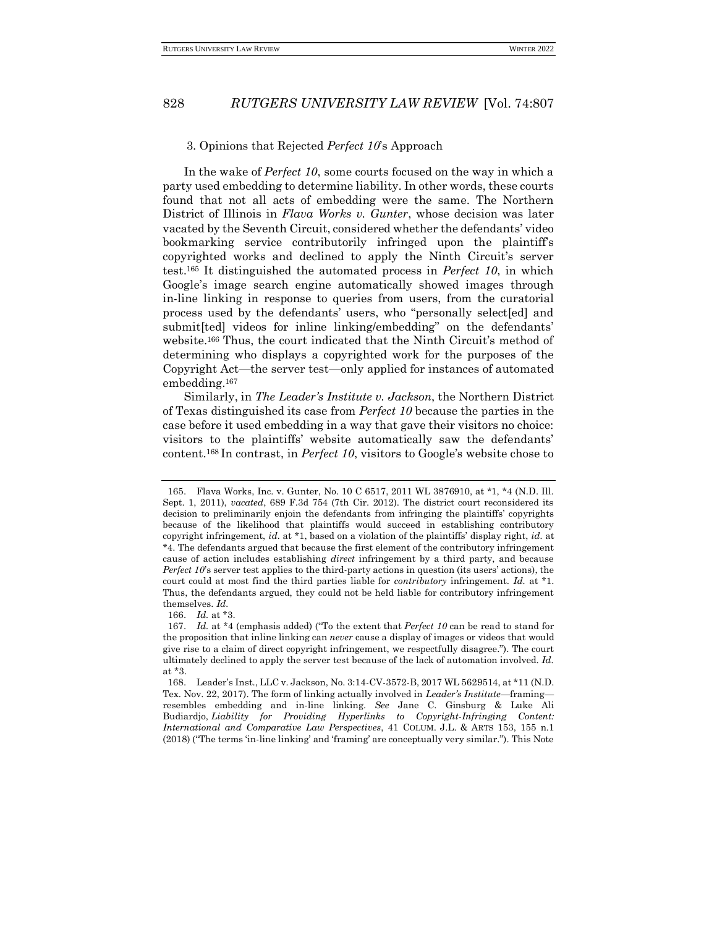#### 3. Opinions that Rejected *Perfect 10*'s Approach

In the wake of *Perfect 10*, some courts focused on the way in which a party used embedding to determine liability. In other words, these courts found that not all acts of embedding were the same. The Northern District of Illinois in *Flava Works v. Gunter*, whose decision was later vacated by the Seventh Circuit, considered whether the defendants' video bookmarking service contributorily infringed upon the plaintiff's copyrighted works and declined to apply the Ninth Circuit's server test.<sup>165</sup> It distinguished the automated process in *Perfect 10*, in which Google's image search engine automatically showed images through in-line linking in response to queries from users, from the curatorial process used by the defendants' users, who "personally select[ed] and submit[ted] videos for inline linking/embedding" on the defendants' website.<sup>166</sup> Thus, the court indicated that the Ninth Circuit's method of determining who displays a copyrighted work for the purposes of the Copyright Act—the server test—only applied for instances of automated embedding.<sup>167</sup>

Similarly, in *The Leader's Institute v. Jackson*, the Northern District of Texas distinguished its case from *Perfect 10* because the parties in the case before it used embedding in a way that gave their visitors no choice: visitors to the plaintiffs' website automatically saw the defendants' content.<sup>168</sup> In contrast, in *Perfect 10*, visitors to Google's website chose to

<sup>165.</sup> Flava Works, Inc. v. Gunter, No. 10 C 6517, 2011 WL 3876910, at \*1, \*4 (N.D. Ill. Sept. 1, 2011), *vacated*, 689 F.3d 754 (7th Cir. 2012). The district court reconsidered its decision to preliminarily enjoin the defendants from infringing the plaintiffs' copyrights because of the likelihood that plaintiffs would succeed in establishing contributory copyright infringement, *id.* at \*1, based on a violation of the plaintiffs' display right, *id.* at \*4. The defendants argued that because the first element of the contributory infringement cause of action includes establishing *direct* infringement by a third party, and because *Perfect 10*'s server test applies to the third-party actions in question (its users' actions), the court could at most find the third parties liable for *contributory* infringement. *Id.* at \*1. Thus, the defendants argued, they could not be held liable for contributory infringement themselves. *Id.*

<sup>166.</sup> *Id.* at \*3.

<sup>167.</sup> *Id.* at \*4 (emphasis added) ("To the extent that *Perfect 10* can be read to stand for the proposition that inline linking can *never* cause a display of images or videos that would give rise to a claim of direct copyright infringement, we respectfully disagree."). The court ultimately declined to apply the server test because of the lack of automation involved. *Id.*  at \*3.

<sup>168.</sup> Leader's Inst., LLC v. Jackson, No. 3:14-CV-3572-B, 2017 WL 5629514, at \*11 (N.D. Tex. Nov. 22, 2017). The form of linking actually involved in *Leader's Institute*—framing resembles embedding and in-line linking. *See* Jane C. Ginsburg & Luke Ali Budiardjo, *Liability for Providing Hyperlinks to Copyright-Infringing Content: International and Comparative Law Perspectives*, 41 COLUM. J.L. & ARTS 153, 155 n.1 (2018) ("The terms 'in-line linking' and 'framing' are conceptually very similar."). This Note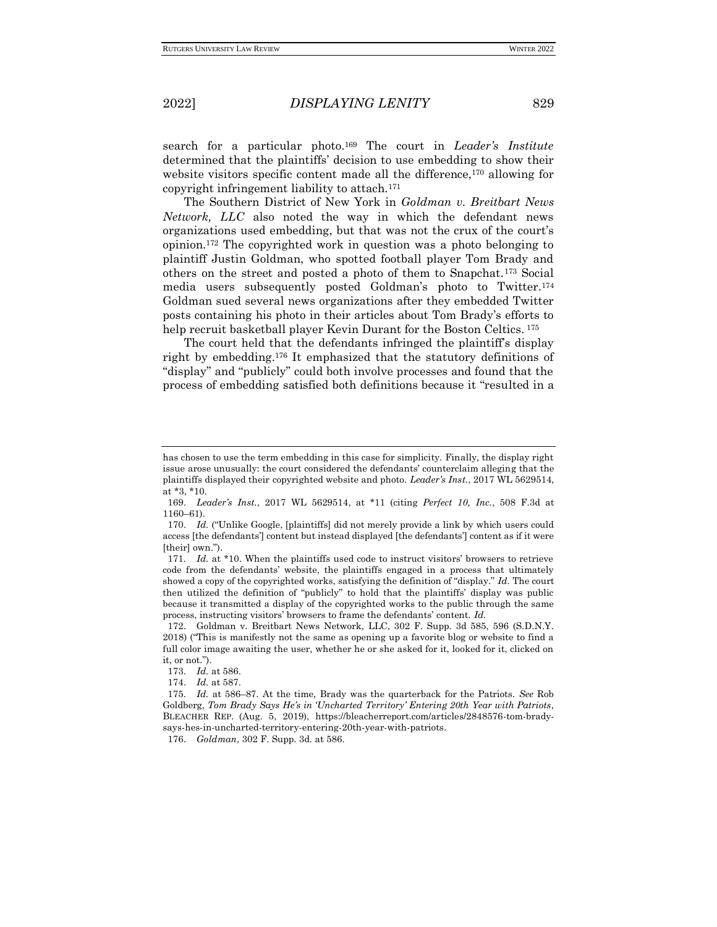search for a particular photo.<sup>169</sup> The court in *Leader's Institute*  determined that the plaintiffs' decision to use embedding to show their website visitors specific content made all the difference,<sup>170</sup> allowing for copyright infringement liability to attach.<sup>171</sup>

The Southern District of New York in *Goldman v. Breitbart News Network, LLC* also noted the way in which the defendant news organizations used embedding, but that was not the crux of the court's opinion.<sup>172</sup> The copyrighted work in question was a photo belonging to plaintiff Justin Goldman, who spotted football player Tom Brady and others on the street and posted a photo of them to Snapchat.<sup>173</sup> Social media users subsequently posted Goldman's photo to Twitter.<sup>174</sup> Goldman sued several news organizations after they embedded Twitter posts containing his photo in their articles about Tom Brady's efforts to help recruit basketball player Kevin Durant for the Boston Celtics. <sup>175</sup>

The court held that the defendants infringed the plaintiff's display right by embedding.<sup>176</sup> It emphasized that the statutory definitions of "display" and "publicly" could both involve processes and found that the process of embedding satisfied both definitions because it "resulted in a

176. *Goldman*, 302 F. Supp. 3d*.* at 586.

has chosen to use the term embedding in this case for simplicity. Finally, the display right issue arose unusually: the court considered the defendants' counterclaim alleging that the plaintiffs displayed their copyrighted website and photo. *Leader's Inst.*, 2017 WL 5629514, at \*3, \*10.

<sup>169.</sup> *Leader's Inst.*, 2017 WL 5629514, at \*11 (citing *Perfect 10, Inc.*, 508 F.3d at 1160–61).

<sup>170.</sup> *Id.* ("Unlike Google, [plaintiffs] did not merely provide a link by which users could access [the defendants'] content but instead displayed [the defendants'] content as if it were [their] own.").

<sup>171</sup>*. Id.* at \*10. When the plaintiffs used code to instruct visitors' browsers to retrieve code from the defendants' website, the plaintiffs engaged in a process that ultimately showed a copy of the copyrighted works, satisfying the definition of "display." *Id.* The court then utilized the definition of "publicly" to hold that the plaintiffs' display was public because it transmitted a display of the copyrighted works to the public through the same process, instructing visitors' browsers to frame the defendants' content. *Id.*

<sup>172.</sup> Goldman v. Breitbart News Network, LLC, 302 F. Supp. 3d 585, 596 (S.D.N.Y. 2018) ("This is manifestly not the same as opening up a favorite blog or website to find a full color image awaiting the user, whether he or she asked for it, looked for it, clicked on it, or not.").

<sup>173</sup>*. Id.* at 586.

<sup>174.</sup> *Id.* at 587.

<sup>175</sup>*. Id.* at 586–87. At the time, Brady was the quarterback for the Patriots. *See* Rob Goldberg, *Tom Brady Says He's in 'Uncharted Territory' Entering 20th Year with Patriots*, BLEACHER REP. (Aug. 5, 2019), https://bleacherreport.com/articles/2848576-tom-bradysays-hes-in-uncharted-territory-entering-20th-year-with-patriots.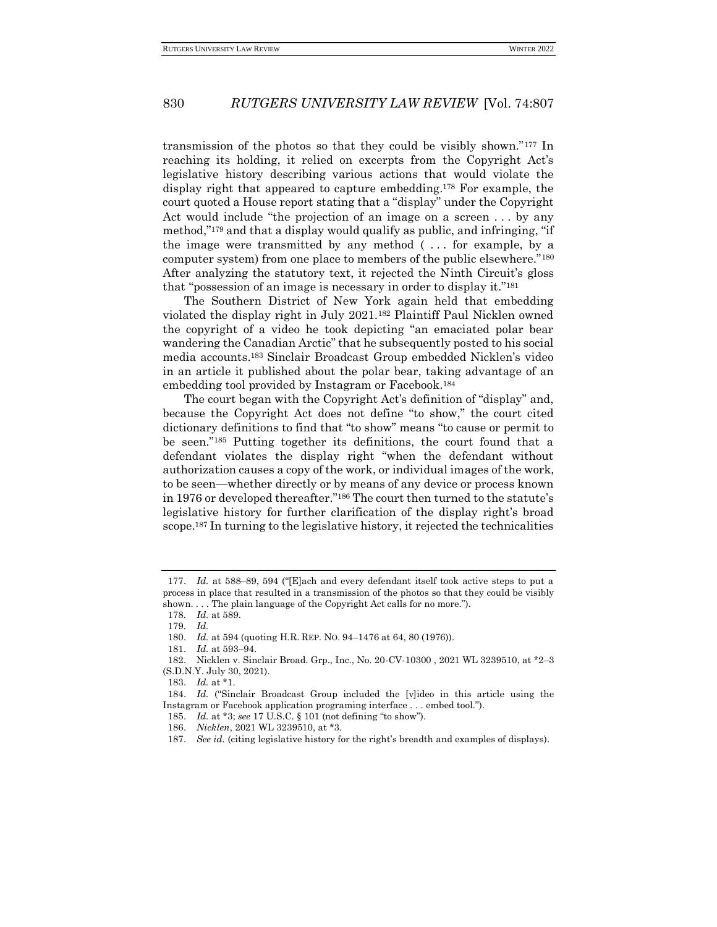transmission of the photos so that they could be visibly shown."<sup>177</sup> In reaching its holding, it relied on excerpts from the Copyright Act's legislative history describing various actions that would violate the display right that appeared to capture embedding.<sup>178</sup> For example, the court quoted a House report stating that a "display" under the Copyright Act would include "the projection of an image on a screen . . . by any method,"<sup>179</sup> and that a display would qualify as public, and infringing, "if the image were transmitted by any method ( . . . for example, by a computer system) from one place to members of the public elsewhere."<sup>180</sup> After analyzing the statutory text, it rejected the Ninth Circuit's gloss that "possession of an image is necessary in order to display it."<sup>181</sup>

The Southern District of New York again held that embedding violated the display right in July 2021.<sup>182</sup> Plaintiff Paul Nicklen owned the copyright of a video he took depicting "an emaciated polar bear wandering the Canadian Arctic" that he subsequently posted to his social media accounts.<sup>183</sup> Sinclair Broadcast Group embedded Nicklen's video in an article it published about the polar bear, taking advantage of an embedding tool provided by Instagram or Facebook.<sup>184</sup>

The court began with the Copyright Act's definition of "display" and, because the Copyright Act does not define "to show," the court cited dictionary definitions to find that "to show" means "to cause or permit to be seen."<sup>185</sup> Putting together its definitions, the court found that a defendant violates the display right "when the defendant without authorization causes a copy of the work, or individual images of the work, to be seen—whether directly or by means of any device or process known in 1976 or developed thereafter."<sup>186</sup> The court then turned to the statute's legislative history for further clarification of the display right's broad scope.<sup>187</sup> In turning to the legislative history, it rejected the technicalities

181. *Id.* at 593–94.

<sup>177.</sup> *Id.* at 588–89, 594 ("[E]ach and every defendant itself took active steps to put a process in place that resulted in a transmission of the photos so that they could be visibly shown. . . . The plain language of the Copyright Act calls for no more.").

<sup>178</sup>*. Id.* at 589.

<sup>179</sup>*. Id.*

<sup>180.</sup> *Id.* at 594 (quoting H.R. REP. NO. 94–1476 at 64, 80 (1976)).

<sup>182.</sup> Nicklen v. Sinclair Broad. Grp., Inc., No. 20-CV-10300 , 2021 WL 3239510, at \*2–3 (S.D.N.Y. July 30, 2021).

<sup>183.</sup> *Id.* at \*1.

<sup>184.</sup> *Id.* ("Sinclair Broadcast Group included the [v]ideo in this article using the Instagram or Facebook application programing interface . . . embed tool.").

<sup>185.</sup> *Id.* at \*3; *see* 17 U.S.C. § 101 (not defining "to show").

<sup>186.</sup> *Nicklen*, 2021 WL 3239510, at \*3.

<sup>187.</sup> *See id.* (citing legislative history for the right's breadth and examples of displays).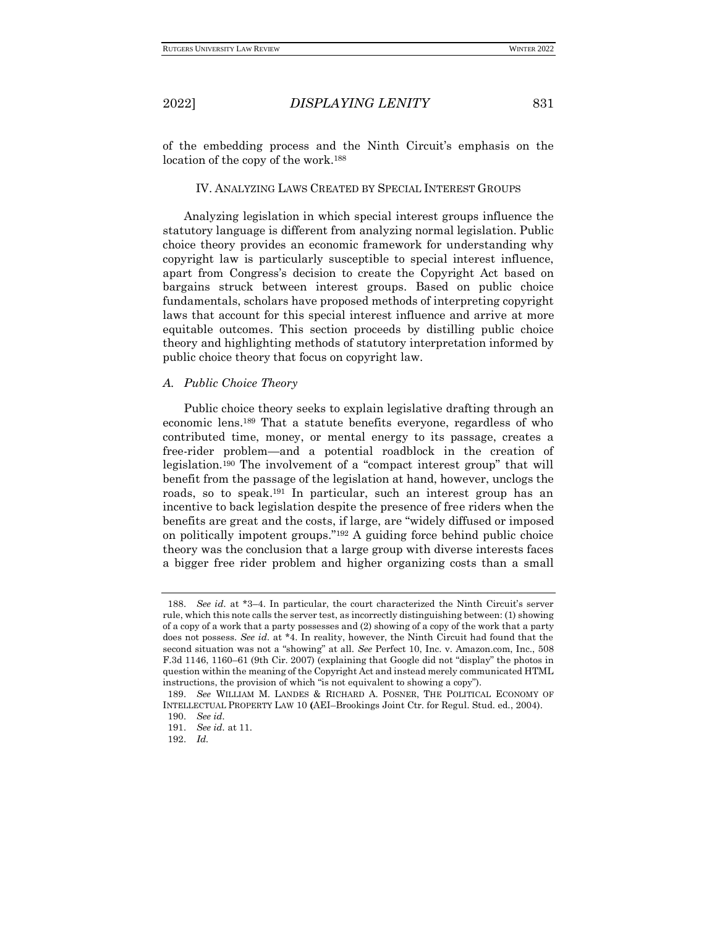of the embedding process and the Ninth Circuit's emphasis on the location of the copy of the work.<sup>188</sup>

### IV. ANALYZING LAWS CREATED BY SPECIAL INTEREST GROUPS

Analyzing legislation in which special interest groups influence the statutory language is different from analyzing normal legislation. Public choice theory provides an economic framework for understanding why copyright law is particularly susceptible to special interest influence, apart from Congress's decision to create the Copyright Act based on bargains struck between interest groups. Based on public choice fundamentals, scholars have proposed methods of interpreting copyright laws that account for this special interest influence and arrive at more equitable outcomes. This section proceeds by distilling public choice theory and highlighting methods of statutory interpretation informed by public choice theory that focus on copyright law.

### *A. Public Choice Theory*

Public choice theory seeks to explain legislative drafting through an economic lens.<sup>189</sup> That a statute benefits everyone, regardless of who contributed time, money, or mental energy to its passage, creates a free-rider problem—and a potential roadblock in the creation of legislation.<sup>190</sup> The involvement of a "compact interest group" that will benefit from the passage of the legislation at hand, however, unclogs the roads, so to speak.<sup>191</sup> In particular, such an interest group has an incentive to back legislation despite the presence of free riders when the benefits are great and the costs, if large, are "widely diffused or imposed on politically impotent groups."<sup>192</sup> A guiding force behind public choice theory was the conclusion that a large group with diverse interests faces a bigger free rider problem and higher organizing costs than a small

<sup>188.</sup> *See id.* at \*3–4. In particular, the court characterized the Ninth Circuit's server rule, which this note calls the server test, as incorrectly distinguishing between: (1) showing of a copy of a work that a party possesses and (2) showing of a copy of the work that a party does not possess. *See id.* at \*4. In reality, however, the Ninth Circuit had found that the second situation was not a "showing" at all. *See* Perfect 10, Inc. v. Amazon.com, Inc., 508 F.3d 1146, 1160–61 (9th Cir. 2007) (explaining that Google did not "display" the photos in question within the meaning of the Copyright Act and instead merely communicated HTML instructions, the provision of which "is not equivalent to showing a copy").

<sup>189.</sup> *See* WILLIAM M. LANDES & RICHARD A. POSNER, THE POLITICAL ECONOMY OF INTELLECTUAL PROPERTY LAW 10 **(**AEI–Brookings Joint Ctr. for Regul. Stud. ed., 2004).

<sup>190.</sup> *See id.*

<sup>191.</sup> *See id.* at 11.

<sup>192.</sup> *Id.*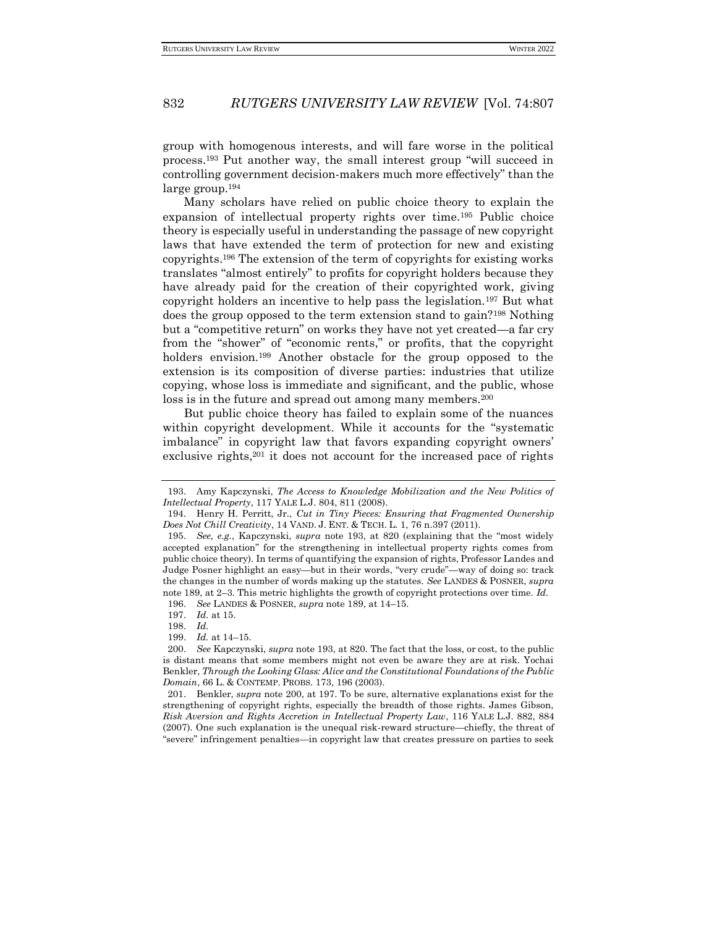group with homogenous interests, and will fare worse in the political process.<sup>193</sup> Put another way, the small interest group "will succeed in controlling government decision-makers much more effectively" than the large group.<sup>194</sup>

Many scholars have relied on public choice theory to explain the expansion of intellectual property rights over time.<sup>195</sup> Public choice theory is especially useful in understanding the passage of new copyright laws that have extended the term of protection for new and existing copyrights.<sup>196</sup> The extension of the term of copyrights for existing works translates "almost entirely" to profits for copyright holders because they have already paid for the creation of their copyrighted work, giving copyright holders an incentive to help pass the legislation.<sup>197</sup> But what does the group opposed to the term extension stand to gain?<sup>198</sup> Nothing but a "competitive return" on works they have not yet created—a far cry from the "shower" of "economic rents," or profits, that the copyright holders envision.<sup>199</sup> Another obstacle for the group opposed to the extension is its composition of diverse parties: industries that utilize copying, whose loss is immediate and significant, and the public, whose loss is in the future and spread out among many members.<sup>200</sup>

But public choice theory has failed to explain some of the nuances within copyright development. While it accounts for the "systematic imbalance" in copyright law that favors expanding copyright owners' exclusive rights,<sup>201</sup> it does not account for the increased pace of rights

<sup>193.</sup> Amy Kapczynski, *The Access to Knowledge Mobilization and the New Politics of Intellectual Property*, 117 YALE L.J. 804, 811 (2008).

<sup>194.</sup> Henry H. Perritt, Jr., *Cut in Tiny Pieces: Ensuring that Fragmented Ownership Does Not Chill Creativity*, 14 VAND. J. ENT. & TECH. L. 1, 76 n.397 (2011).

<sup>195.</sup> *See, e.g.*, Kapczynski, *supra* note 193, at 820 (explaining that the "most widely accepted explanation" for the strengthening in intellectual property rights comes from public choice theory). In terms of quantifying the expansion of rights, Professor Landes and Judge Posner highlight an easy—but in their words, "very crude"—way of doing so: track the changes in the number of words making up the statutes. *See* LANDES & POSNER, *supra* note 189, at 2–3. This metric highlights the growth of copyright protections over time. *Id.*

<sup>196.</sup> *See* LANDES & POSNER, *supra* note 189, at 14–15.

<sup>197.</sup> *Id.* at 15.

<sup>198.</sup> *Id.*

<sup>199.</sup> *Id.* at 14–15.

<sup>200.</sup> *See* Kapczynski, *supra* note 193, at 820. The fact that the loss, or cost, to the public is distant means that some members might not even be aware they are at risk. Yochai Benkler, *Through the Looking Glass: Alice and the Constitutional Foundations of the Public Domain*, 66 L. & CONTEMP. PROBS. 173, 196 (2003).

<sup>201.</sup> Benkler, *supra* note 200, at 197. To be sure, alternative explanations exist for the strengthening of copyright rights, especially the breadth of those rights. James Gibson, *Risk Aversion and Rights Accretion in Intellectual Property Law*, 116 YALE L.J. 882, 884 (2007). One such explanation is the unequal risk-reward structure—chiefly, the threat of "severe" infringement penalties—in copyright law that creates pressure on parties to seek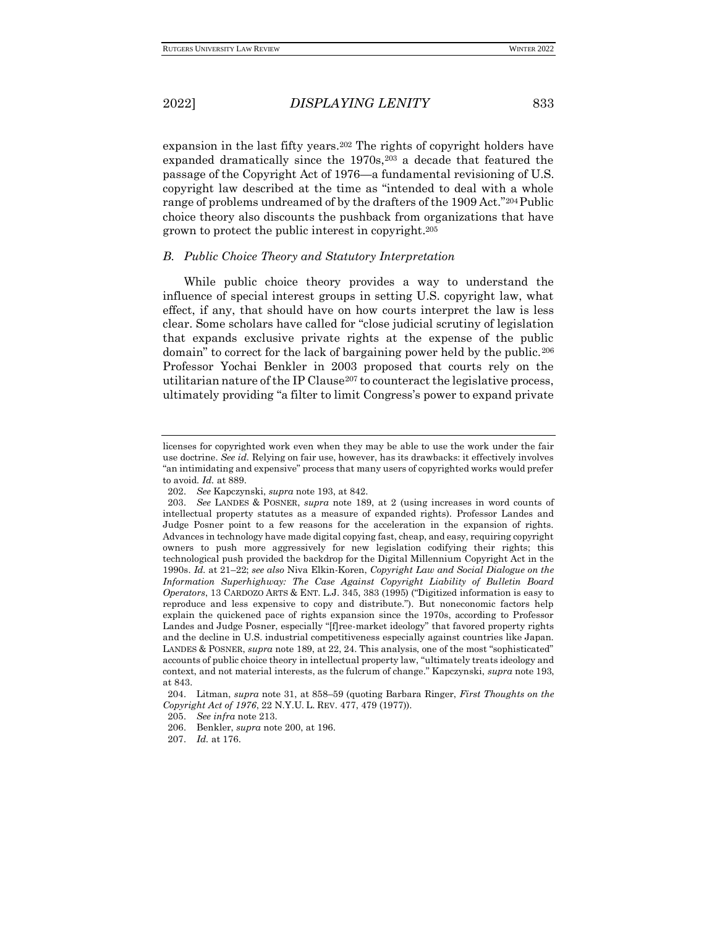expansion in the last fifty years.<sup>202</sup> The rights of copyright holders have expanded dramatically since the 1970s,<sup>203</sup> a decade that featured the passage of the Copyright Act of 1976—a fundamental revisioning of U.S. copyright law described at the time as "intended to deal with a whole range of problems undreamed of by the drafters of the 1909 Act."<sup>204</sup> Public choice theory also discounts the pushback from organizations that have grown to protect the public interest in copyright.<sup>205</sup>

## *B. Public Choice Theory and Statutory Interpretation*

While public choice theory provides a way to understand the influence of special interest groups in setting U.S. copyright law, what effect, if any, that should have on how courts interpret the law is less clear. Some scholars have called for "close judicial scrutiny of legislation that expands exclusive private rights at the expense of the public domain" to correct for the lack of bargaining power held by the public.<sup>206</sup> Professor Yochai Benkler in 2003 proposed that courts rely on the utilitarian nature of the IP Clause<sup>207</sup> to counteract the legislative process, ultimately providing "a filter to limit Congress's power to expand private

licenses for copyrighted work even when they may be able to use the work under the fair use doctrine. *See id.* Relying on fair use, however, has its drawbacks: it effectively involves "an intimidating and expensive" process that many users of copyrighted works would prefer to avoid. *Id.* at 889.

<sup>202.</sup> *See* Kapczynski, *supra* note 193, at 842.

<sup>203.</sup> *See* LANDES & POSNER, *supra* note 189, at 2 (using increases in word counts of intellectual property statutes as a measure of expanded rights). Professor Landes and Judge Posner point to a few reasons for the acceleration in the expansion of rights. Advances in technology have made digital copying fast, cheap, and easy, requiring copyright owners to push more aggressively for new legislation codifying their rights; this technological push provided the backdrop for the Digital Millennium Copyright Act in the 1990s. *Id.* at 21–22; *see also* Niva Elkin-Koren, *Copyright Law and Social Dialogue on the Information Superhighway: The Case Against Copyright Liability of Bulletin Board Operators*, 13 CARDOZO ARTS & ENT. L.J. 345, 383 (1995) ("Digitized information is easy to reproduce and less expensive to copy and distribute."). But noneconomic factors help explain the quickened pace of rights expansion since the 1970s, according to Professor Landes and Judge Posner, especially "[f]ree-market ideology" that favored property rights and the decline in U.S. industrial competitiveness especially against countries like Japan. LANDES & POSNER, *supra* note 189, at 22, 24. This analysis, one of the most "sophisticated" accounts of public choice theory in intellectual property law, "ultimately treats ideology and context, and not material interests, as the fulcrum of change." Kapczynski, *supra* note 193, at 843.

<sup>204.</sup> Litman, *supra* note 31, at 858–59 (quoting Barbara Ringer, *First Thoughts on the Copyright Act of 1976*, 22 N.Y.U. L. REV. 477, 479 (1977)).

<sup>205.</sup> *See infra* note 213.

<sup>206.</sup> Benkler, *supra* note 200, at 196.

<sup>207.</sup> *Id.* at 176.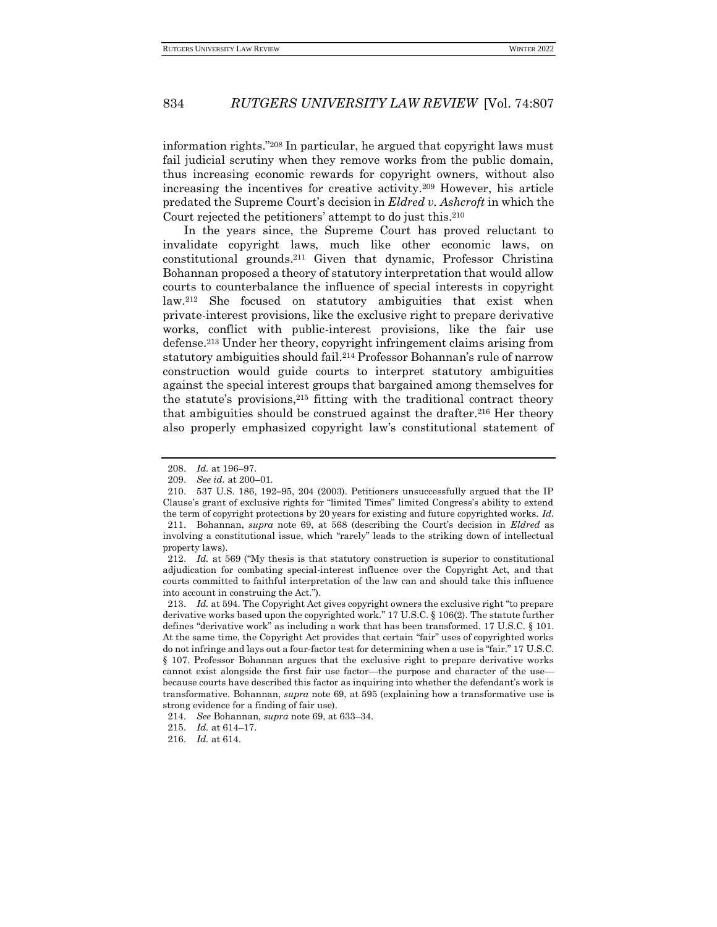information rights."<sup>208</sup> In particular, he argued that copyright laws must fail judicial scrutiny when they remove works from the public domain, thus increasing economic rewards for copyright owners, without also increasing the incentives for creative activity.<sup>209</sup> However, his article predated the Supreme Court's decision in *Eldred v. Ashcroft* in which the Court rejected the petitioners' attempt to do just this.<sup>210</sup>

In the years since, the Supreme Court has proved reluctant to invalidate copyright laws, much like other economic laws, on constitutional grounds.<sup>211</sup> Given that dynamic, Professor Christina Bohannan proposed a theory of statutory interpretation that would allow courts to counterbalance the influence of special interests in copyright law.<sup>212</sup> She focused on statutory ambiguities that exist when private-interest provisions, like the exclusive right to prepare derivative works, conflict with public-interest provisions, like the fair use defense.<sup>213</sup> Under her theory, copyright infringement claims arising from statutory ambiguities should fail.<sup>214</sup> Professor Bohannan's rule of narrow construction would guide courts to interpret statutory ambiguities against the special interest groups that bargained among themselves for the statute's provisions, $2^{15}$  fitting with the traditional contract theory that ambiguities should be construed against the drafter.<sup>216</sup> Her theory also properly emphasized copyright law's constitutional statement of

<sup>208.</sup> *Id.* at 196–97.

<sup>209.</sup> *See id.* at 200–01.

<sup>210.</sup> 537 U.S. 186, 192**–**95, 204 (2003). Petitioners unsuccessfully argued that the IP Clause's grant of exclusive rights for "limited Times" limited Congress's ability to extend the term of copyright protections by 20 years for existing and future copyrighted works. *Id.* 211. Bohannan, *supra* note 69, at 568 (describing the Court's decision in *Eldred* as involving a constitutional issue, which "rarely" leads to the striking down of intellectual property laws).

<sup>212.</sup> *Id.* at 569 ("My thesis is that statutory construction is superior to constitutional adjudication for combating special-interest influence over the Copyright Act, and that courts committed to faithful interpretation of the law can and should take this influence into account in construing the Act.").

<sup>213.</sup> *Id.* at 594. The Copyright Act gives copyright owners the exclusive right "to prepare derivative works based upon the copyrighted work." 17 U.S.C. § 106(2). The statute further defines "derivative work" as including a work that has been transformed. 17 U.S.C. § 101. At the same time, the Copyright Act provides that certain "fair" uses of copyrighted works do not infringe and lays out a four-factor test for determining when a use is "fair." 17 U.S.C. § 107. Professor Bohannan argues that the exclusive right to prepare derivative works cannot exist alongside the first fair use factor—the purpose and character of the use because courts have described this factor as inquiring into whether the defendant's work is transformative. Bohannan, *supra* note 69, at 595 (explaining how a transformative use is strong evidence for a finding of fair use).

<sup>214.</sup> *See* Bohannan, *supra* note 69, at 633–34.

<sup>215.</sup> *Id.* at 614–17.

<sup>216.</sup> *Id.* at 614.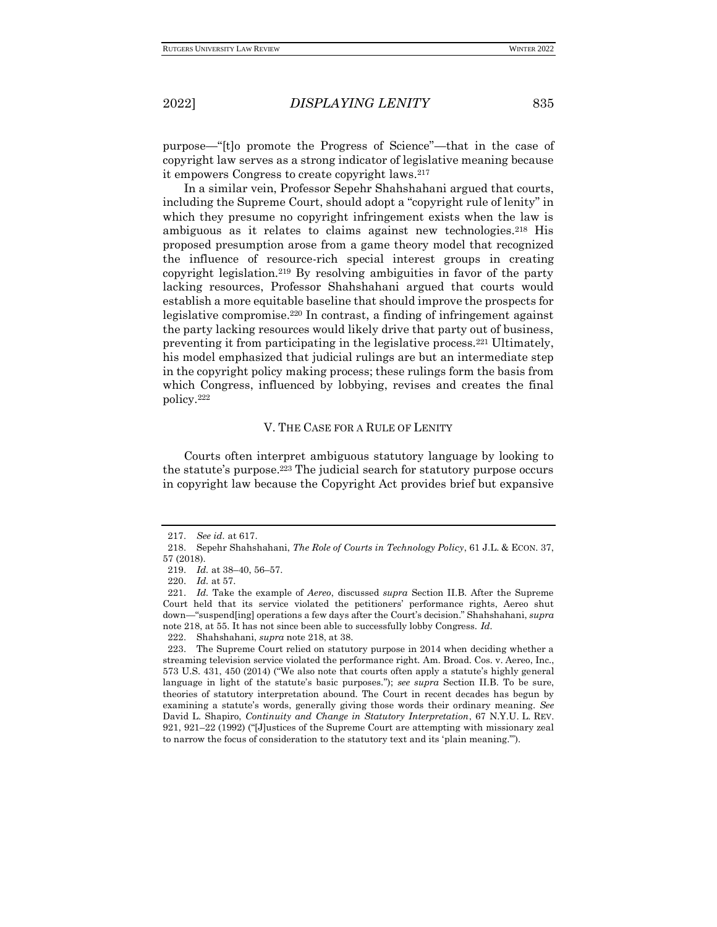purpose—"[t]o promote the Progress of Science"—that in the case of copyright law serves as a strong indicator of legislative meaning because it empowers Congress to create copyright laws.<sup>217</sup>

In a similar vein, Professor Sepehr Shahshahani argued that courts, including the Supreme Court, should adopt a "copyright rule of lenity" in which they presume no copyright infringement exists when the law is ambiguous as it relates to claims against new technologies.<sup>218</sup> His proposed presumption arose from a game theory model that recognized the influence of resource-rich special interest groups in creating copyright legislation.<sup>219</sup> By resolving ambiguities in favor of the party lacking resources, Professor Shahshahani argued that courts would establish a more equitable baseline that should improve the prospects for legislative compromise.<sup>220</sup> In contrast, a finding of infringement against the party lacking resources would likely drive that party out of business, preventing it from participating in the legislative process.<sup>221</sup> Ultimately, his model emphasized that judicial rulings are but an intermediate step in the copyright policy making process; these rulings form the basis from which Congress, influenced by lobbying, revises and creates the final policy.<sup>222</sup>

## V. THE CASE FOR A RULE OF LENITY

Courts often interpret ambiguous statutory language by looking to the statute's purpose.<sup>223</sup> The judicial search for statutory purpose occurs in copyright law because the Copyright Act provides brief but expansive

<sup>217.</sup> *See id.* at 617.

<sup>218.</sup> Sepehr Shahshahani, *The Role of Courts in Technology Policy*, 61 J.L. & ECON. 37, 57 (2018).

<sup>219.</sup> *Id.* at 38–40, 56–57.

<sup>220.</sup> *Id.* at 57.

<sup>221.</sup> *Id.* Take the example of *Aereo*, discussed *supra* Section II.B. After the Supreme Court held that its service violated the petitioners' performance rights, Aereo shut down—"suspend[ing] operations a few days after the Court's decision." Shahshahani, *supra*  note 218, at 55. It has not since been able to successfully lobby Congress. *Id.*

<sup>222.</sup> Shahshahani, *supra* note 218, at 38.

<sup>223.</sup> The Supreme Court relied on statutory purpose in 2014 when deciding whether a streaming television service violated the performance right. Am. Broad. Cos. v. Aereo, Inc., 573 U.S. 431, 450 (2014) ("We also note that courts often apply a statute's highly general language in light of the statute's basic purposes."); *see supra* Section II.B. To be sure, theories of statutory interpretation abound. The Court in recent decades has begun by examining a statute's words, generally giving those words their ordinary meaning. *See* David L. Shapiro, *Continuity and Change in Statutory Interpretation*, 67 N.Y.U. L. REV. 921, 921–22 (1992) ("[J]ustices of the Supreme Court are attempting with missionary zeal to narrow the focus of consideration to the statutory text and its 'plain meaning.'").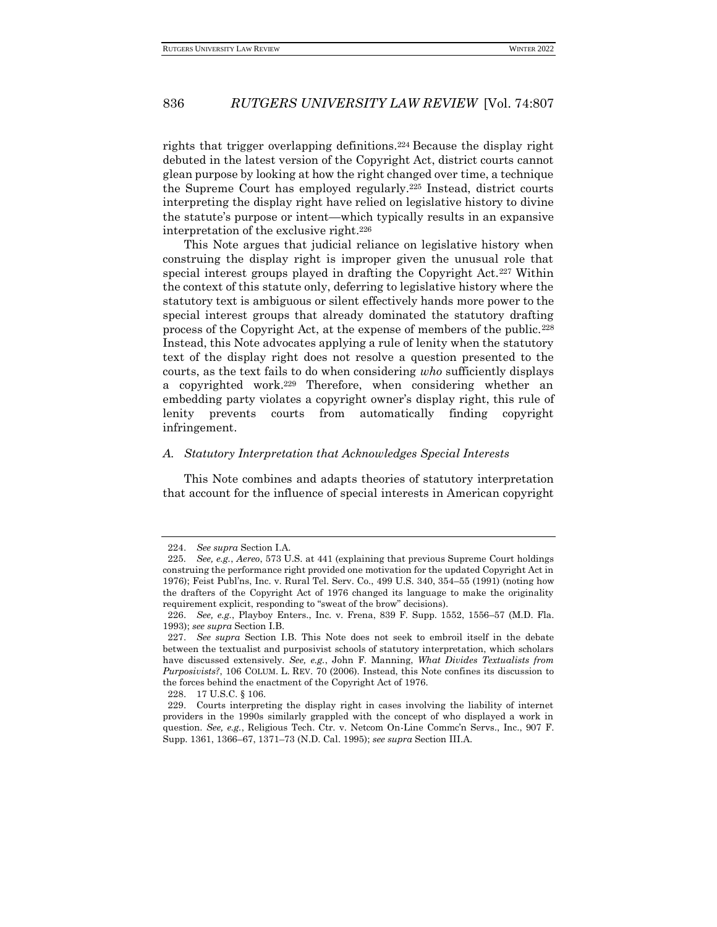rights that trigger overlapping definitions.<sup>224</sup> Because the display right debuted in the latest version of the Copyright Act, district courts cannot glean purpose by looking at how the right changed over time, a technique the Supreme Court has employed regularly.<sup>225</sup> Instead, district courts interpreting the display right have relied on legislative history to divine the statute's purpose or intent—which typically results in an expansive interpretation of the exclusive right.<sup>226</sup>

This Note argues that judicial reliance on legislative history when construing the display right is improper given the unusual role that special interest groups played in drafting the Copyright Act.<sup>227</sup> Within the context of this statute only, deferring to legislative history where the statutory text is ambiguous or silent effectively hands more power to the special interest groups that already dominated the statutory drafting process of the Copyright Act, at the expense of members of the public.<sup>228</sup> Instead, this Note advocates applying a rule of lenity when the statutory text of the display right does not resolve a question presented to the courts, as the text fails to do when considering *who* sufficiently displays a copyrighted work.<sup>229</sup> Therefore, when considering whether an embedding party violates a copyright owner's display right, this rule of lenity prevents courts from automatically finding copyright infringement.

### *A. Statutory Interpretation that Acknowledges Special Interests*

This Note combines and adapts theories of statutory interpretation that account for the influence of special interests in American copyright

<sup>224.</sup> *See supra* Section I.A.

<sup>225</sup>*. See, e.g.*, *Aereo*, 573 U.S. at 441 (explaining that previous Supreme Court holdings construing the performance right provided one motivation for the updated Copyright Act in 1976); Feist Publ'ns, Inc. v. Rural Tel. Serv. Co., 499 U.S. 340, 354–55 (1991) (noting how the drafters of the Copyright Act of 1976 changed its language to make the originality requirement explicit, responding to "sweat of the brow" decisions).

<sup>226.</sup> *See, e.g.*, Playboy Enters., Inc. v. Frena, 839 F. Supp. 1552, 1556–57 (M.D. Fla. 1993); *see supra* Section I.B.

<sup>227.</sup> *See supra* Section I.B. This Note does not seek to embroil itself in the debate between the textualist and purposivist schools of statutory interpretation, which scholars have discussed extensively. *See, e.g.*, John F. Manning, *What Divides Textualists from Purposivists?*, 106 COLUM. L. REV. 70 (2006). Instead, this Note confines its discussion to the forces behind the enactment of the Copyright Act of 1976.

<sup>228.</sup> 17 U.S.C. § 106.

<sup>229.</sup> Courts interpreting the display right in cases involving the liability of internet providers in the 1990s similarly grappled with the concept of who displayed a work in question. *See, e.g.*, Religious Tech. Ctr. v. Netcom On-Line Commc'n Servs., Inc., 907 F. Supp. 1361, 1366–67, 1371–73 (N.D. Cal. 1995); *see supra* Section III.A.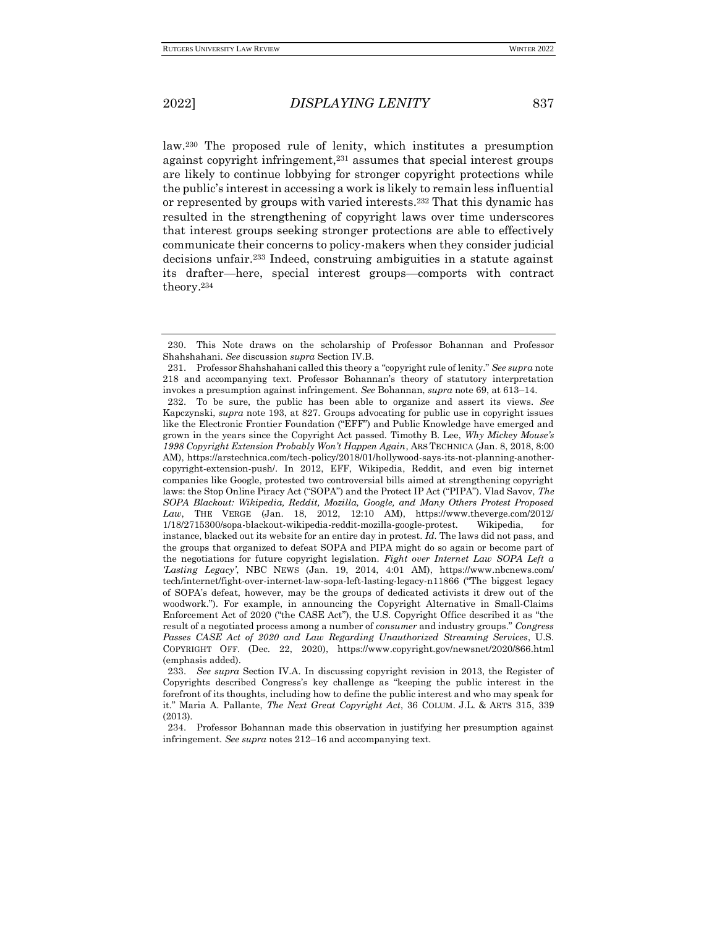law.<sup>230</sup> The proposed rule of lenity, which institutes a presumption against copyright infringement,<sup>231</sup> assumes that special interest groups are likely to continue lobbying for stronger copyright protections while the public's interest in accessing a work is likely to remain less influential or represented by groups with varied interests.<sup>232</sup> That this dynamic has resulted in the strengthening of copyright laws over time underscores that interest groups seeking stronger protections are able to effectively communicate their concerns to policy-makers when they consider judicial decisions unfair.<sup>233</sup> Indeed, construing ambiguities in a statute against its drafter—here, special interest groups—comports with contract theory.<sup>234</sup>

<sup>230.</sup> This Note draws on the scholarship of Professor Bohannan and Professor Shahshahani. *See* discussion *supra* Section IV.B.

<sup>231.</sup> Professor Shahshahani called this theory a "copyright rule of lenity." *See supra* note 218 and accompanying text. Professor Bohannan's theory of statutory interpretation invokes a presumption against infringement. *See* Bohannan, *supra* note 69, at 613–14.

<sup>232.</sup> To be sure, the public has been able to organize and assert its views. *See*  Kapczynski, *supra* note 193, at 827. Groups advocating for public use in copyright issues like the Electronic Frontier Foundation ("EFF") and Public Knowledge have emerged and grown in the years since the Copyright Act passed. Timothy B. Lee, *Why Mickey Mouse's 1998 Copyright Extension Probably Won't Happen Again*, ARS TECHNICA (Jan. 8, 2018, 8:00 AM), https://arstechnica.com/tech-policy/2018/01/hollywood-says-its-not-planning-anothercopyright-extension-push/. In 2012, EFF, Wikipedia, Reddit, and even big internet companies like Google, protested two controversial bills aimed at strengthening copyright laws: the Stop Online Piracy Act ("SOPA") and the Protect IP Act ("PIPA"). Vlad Savov, *The SOPA Blackout: Wikipedia, Reddit, Mozilla, Google, and Many Others Protest Proposed Law*, THE VERGE (Jan. 18, 2012, 12:10 AM), https://www.theverge.com/2012/ 1/18/2715300/sopa-blackout-wikipedia-reddit-mozilla-google-protest. Wikipedia, for instance, blacked out its website for an entire day in protest. *Id.* The laws did not pass, and the groups that organized to defeat SOPA and PIPA might do so again or become part of the negotiations for future copyright legislation. *Fight over Internet Law SOPA Left a 'Lasting Legacy'*, NBC NEWS (Jan. 19, 2014, 4:01 AM), https://www.nbcnews.com/ tech/internet/fight-over-internet-law-sopa-left-lasting-legacy-n11866 ("The biggest legacy of SOPA's defeat, however, may be the groups of dedicated activists it drew out of the woodwork."). For example, in announcing the Copyright Alternative in Small-Claims Enforcement Act of 2020 ("the CASE Act"), the U.S. Copyright Office described it as "the result of a negotiated process among a number of *consumer* and industry groups." *Congress Passes CASE Act of 2020 and Law Regarding Unauthorized Streaming Services*, U.S. COPYRIGHT OFF. (Dec. 22, 2020), https://www.copyright.gov/newsnet/2020/866.html (emphasis added).

<sup>233.</sup> *See supra* Section IV.A. In discussing copyright revision in 2013, the Register of Copyrights described Congress's key challenge as "keeping the public interest in the forefront of its thoughts, including how to define the public interest and who may speak for it." Maria A. Pallante, *The Next Great Copyright Act*, 36 COLUM. J.L. & ARTS 315, 339 (2013).

<sup>234.</sup> Professor Bohannan made this observation in justifying her presumption against infringement. *See supra* notes 212–16 and accompanying text.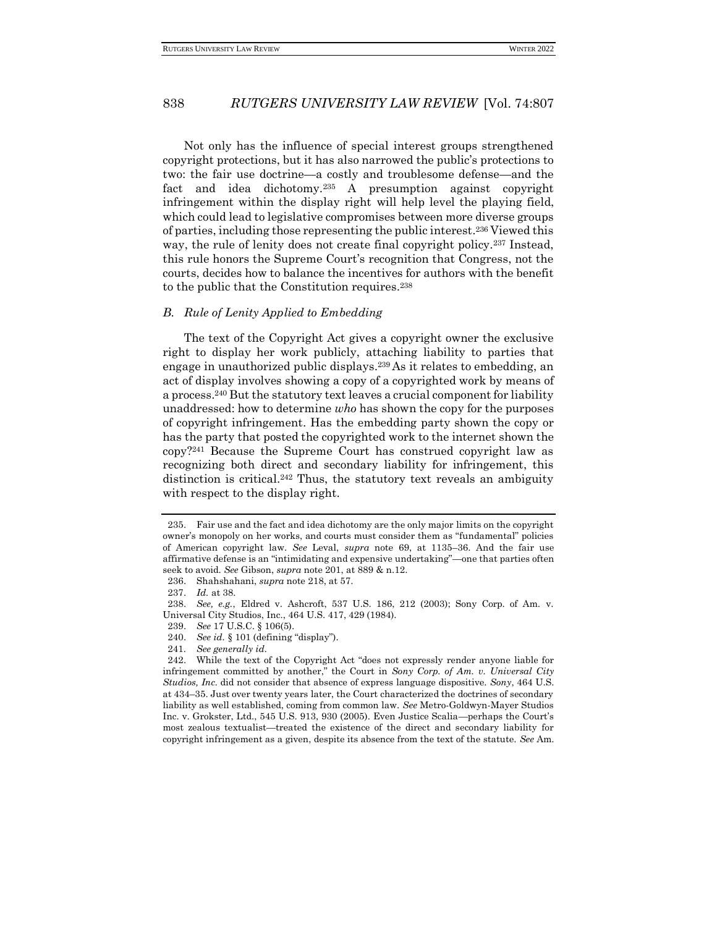Not only has the influence of special interest groups strengthened copyright protections, but it has also narrowed the public's protections to two: the fair use doctrine—a costly and troublesome defense—and the fact and idea dichotomy.<sup>235</sup> A presumption against copyright infringement within the display right will help level the playing field, which could lead to legislative compromises between more diverse groups of parties, including those representing the public interest.<sup>236</sup> Viewed this way, the rule of lenity does not create final copyright policy.<sup>237</sup> Instead, this rule honors the Supreme Court's recognition that Congress, not the courts, decides how to balance the incentives for authors with the benefit to the public that the Constitution requires.<sup>238</sup>

### *B. Rule of Lenity Applied to Embedding*

The text of the Copyright Act gives a copyright owner the exclusive right to display her work publicly, attaching liability to parties that engage in unauthorized public displays.<sup>239</sup> As it relates to embedding, an act of display involves showing a copy of a copyrighted work by means of a process.<sup>240</sup> But the statutory text leaves a crucial component for liability unaddressed: how to determine *who* has shown the copy for the purposes of copyright infringement. Has the embedding party shown the copy or has the party that posted the copyrighted work to the internet shown the copy?<sup>241</sup> Because the Supreme Court has construed copyright law as recognizing both direct and secondary liability for infringement, this distinction is critical.<sup>242</sup> Thus, the statutory text reveals an ambiguity with respect to the display right.

240. *See id.* § 101 (defining "display").

<sup>235.</sup> Fair use and the fact and idea dichotomy are the only major limits on the copyright owner's monopoly on her works, and courts must consider them as "fundamental" policies of American copyright law. *See* Leval, *supra* note 69, at 1135–36. And the fair use affirmative defense is an "intimidating and expensive undertaking"—one that parties often seek to avoid. *See* Gibson, *supra* note 201, at 889 & n.12.

<sup>236.</sup> Shahshahani, *supra* note 218, at 57.

<sup>237.</sup> *Id.* at 38.

<sup>238.</sup> *See, e.g.*, Eldred v. Ashcroft, 537 U.S. 186, 212 (2003); Sony Corp. of Am. v. Universal City Studios, Inc., 464 U.S. 417, 429 (1984).

<sup>239.</sup> *See* 17 U.S.C. § 106(5).

<sup>241</sup>*. See generally id.*

<sup>242.</sup> While the text of the Copyright Act "does not expressly render anyone liable for infringement committed by another," the Court in *Sony Corp. of Am. v. Universal City Studios, Inc.* did not consider that absence of express language dispositive. *Sony*, 464 U.S. at 434–35. Just over twenty years later, the Court characterized the doctrines of secondary liability as well established, coming from common law. *See* Metro-Goldwyn-Mayer Studios Inc. v. Grokster, Ltd., 545 U.S. 913, 930 (2005). Even Justice Scalia—perhaps the Court's most zealous textualist—treated the existence of the direct and secondary liability for copyright infringement as a given, despite its absence from the text of the statute. *See* Am.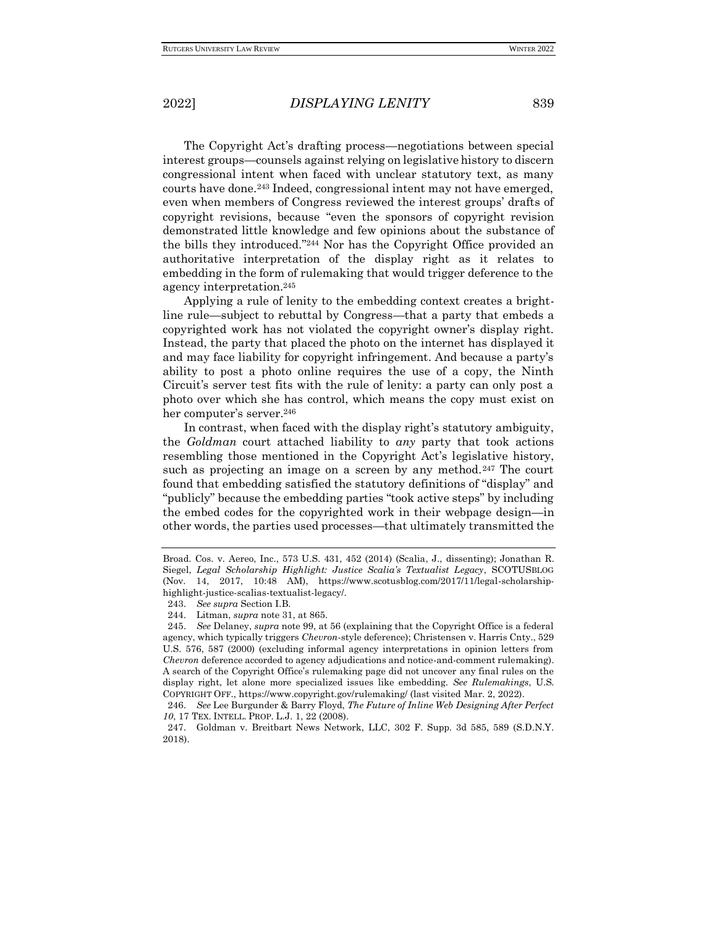The Copyright Act's drafting process—negotiations between special interest groups—counsels against relying on legislative history to discern congressional intent when faced with unclear statutory text, as many courts have done.<sup>243</sup> Indeed, congressional intent may not have emerged, even when members of Congress reviewed the interest groups' drafts of copyright revisions, because "even the sponsors of copyright revision demonstrated little knowledge and few opinions about the substance of the bills they introduced."<sup>244</sup> Nor has the Copyright Office provided an authoritative interpretation of the display right as it relates to embedding in the form of rulemaking that would trigger deference to the agency interpretation.<sup>245</sup>

Applying a rule of lenity to the embedding context creates a brightline rule—subject to rebuttal by Congress—that a party that embeds a copyrighted work has not violated the copyright owner's display right. Instead, the party that placed the photo on the internet has displayed it and may face liability for copyright infringement. And because a party's ability to post a photo online requires the use of a copy, the Ninth Circuit's server test fits with the rule of lenity: a party can only post a photo over which she has control, which means the copy must exist on her computer's server.<sup>246</sup>

In contrast, when faced with the display right's statutory ambiguity, the *Goldman* court attached liability to *any* party that took actions resembling those mentioned in the Copyright Act's legislative history, such as projecting an image on a screen by any method.<sup>247</sup> The court found that embedding satisfied the statutory definitions of "display" and "publicly" because the embedding parties "took active steps" by including the embed codes for the copyrighted work in their webpage design—in other words, the parties used processes—that ultimately transmitted the

Broad. Cos. v. Aereo, Inc., 573 U.S. 431, 452 (2014) (Scalia, J., dissenting); Jonathan R. Siegel, *Legal Scholarship Highlight: Justice Scalia's Textualist Legacy*, SCOTUSBLOG (Nov. 14, 2017, 10:48 AM), https://www.scotusblog.com/2017/11/legal-scholarshiphighlight-justice-scalias-textualist-legacy/.

<sup>243.</sup> *See supra* Section I.B.

<sup>244.</sup> Litman, *supra* note 31, at 865.

<sup>245.</sup> *See* Delaney, *supra* note 99, at 56 (explaining that the Copyright Office is a federal agency, which typically triggers *Chevron*-style deference); Christensen v. Harris Cnty., 529 U.S. 576, 587 (2000) (excluding informal agency interpretations in opinion letters from *Chevron* deference accorded to agency adjudications and notice-and-comment rulemaking). A search of the Copyright Office's rulemaking page did not uncover any final rules on the display right, let alone more specialized issues like embedding. *See Rulemakings*, U.S. COPYRIGHT OFF., https://www.copyright.gov/rulemaking/ (last visited Mar. 2, 2022).

<sup>246.</sup> *See* Lee Burgunder & Barry Floyd, *The Future of Inline Web Designing After Perfect 10*, 17 TEX. INTELL. PROP. L.J. 1, 22 (2008).

<sup>247.</sup> Goldman v. Breitbart News Network, LLC, 302 F. Supp. 3d 585, 589 (S.D.N.Y. 2018).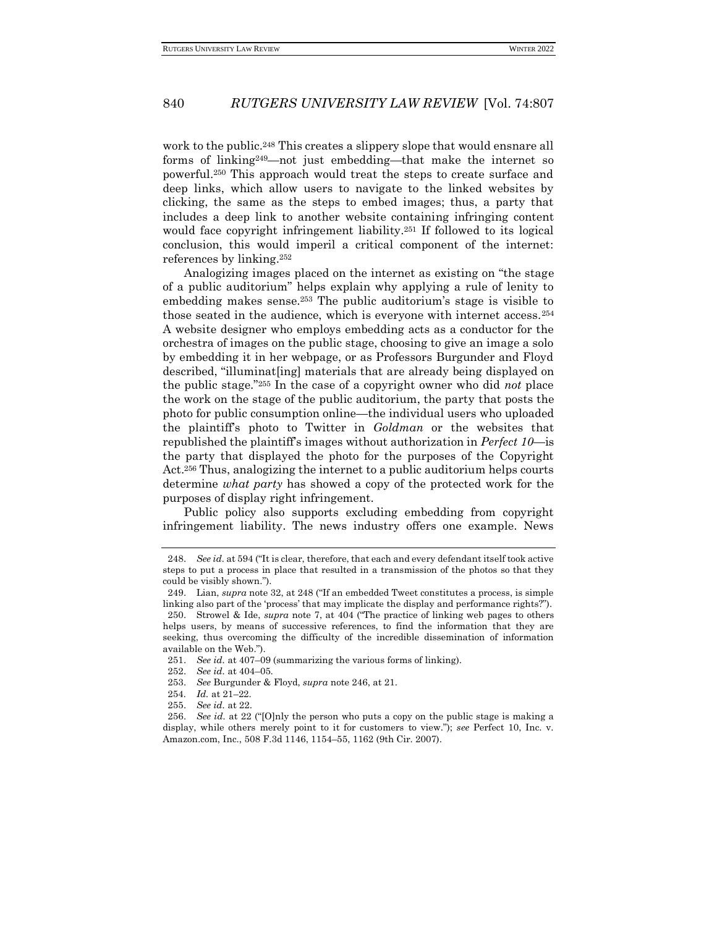work to the public.<sup>248</sup> This creates a slippery slope that would ensnare all forms of linking249—not just embedding—that make the internet so powerful.<sup>250</sup> This approach would treat the steps to create surface and deep links, which allow users to navigate to the linked websites by clicking, the same as the steps to embed images; thus, a party that includes a deep link to another website containing infringing content would face copyright infringement liability.<sup>251</sup> If followed to its logical conclusion, this would imperil a critical component of the internet: references by linking.<sup>252</sup>

Analogizing images placed on the internet as existing on "the stage of a public auditorium" helps explain why applying a rule of lenity to embedding makes sense.<sup>253</sup> The public auditorium's stage is visible to those seated in the audience, which is everyone with internet access.<sup>254</sup> A website designer who employs embedding acts as a conductor for the orchestra of images on the public stage, choosing to give an image a solo by embedding it in her webpage, or as Professors Burgunder and Floyd described, "illuminat[ing] materials that are already being displayed on the public stage."<sup>255</sup> In the case of a copyright owner who did *not* place the work on the stage of the public auditorium, the party that posts the photo for public consumption online—the individual users who uploaded the plaintiff's photo to Twitter in *Goldman* or the websites that republished the plaintiff's images without authorization in *Perfect 10*—is the party that displayed the photo for the purposes of the Copyright Act.<sup>256</sup> Thus, analogizing the internet to a public auditorium helps courts determine *what party* has showed a copy of the protected work for the purposes of display right infringement.

Public policy also supports excluding embedding from copyright infringement liability. The news industry offers one example. News

<sup>248.</sup> *See id.* at 594 ("It is clear, therefore, that each and every defendant itself took active steps to put a process in place that resulted in a transmission of the photos so that they could be visibly shown.").

<sup>249.</sup> Lian, *supra* note 32, at 248 ("If an embedded Tweet constitutes a process, is simple linking also part of the 'process' that may implicate the display and performance rights?"). 250. Strowel & Ide, *supra* note 7, at 404 ("The practice of linking web pages to others helps users, by means of successive references, to find the information that they are seeking, thus overcoming the difficulty of the incredible dissemination of information available on the Web.").

<sup>251.</sup> *See id.* at 407–09 (summarizing the various forms of linking).

<sup>252.</sup> *See id.* at 404–05.

<sup>253.</sup> *See* Burgunder & Floyd, *supra* note 246, at 21.

<sup>254</sup>*. Id.* at 21–22.

<sup>255.</sup> *See id.* at 22.

<sup>256.</sup> *See id.* at 22 ("[O]nly the person who puts a copy on the public stage is making a display, while others merely point to it for customers to view."); *see* Perfect 10, Inc. v. Amazon.com, Inc., 508 F.3d 1146, 1154–55, 1162 (9th Cir. 2007).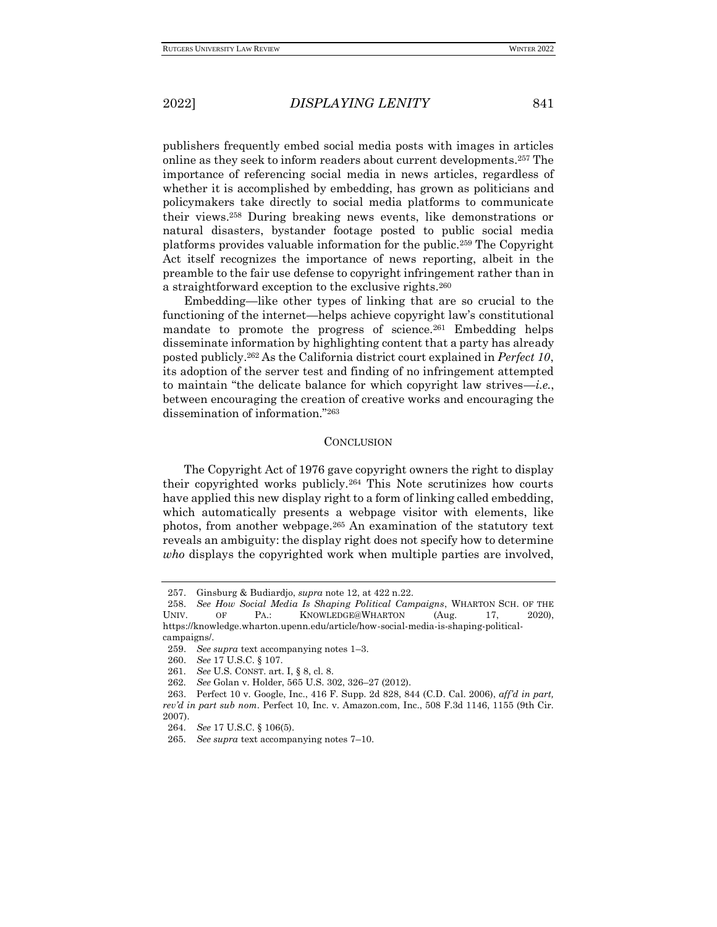publishers frequently embed social media posts with images in articles online as they seek to inform readers about current developments.<sup>257</sup> The importance of referencing social media in news articles, regardless of whether it is accomplished by embedding, has grown as politicians and policymakers take directly to social media platforms to communicate their views.<sup>258</sup> During breaking news events, like demonstrations or natural disasters, bystander footage posted to public social media platforms provides valuable information for the public.<sup>259</sup> The Copyright Act itself recognizes the importance of news reporting, albeit in the preamble to the fair use defense to copyright infringement rather than in a straightforward exception to the exclusive rights.<sup>260</sup>

Embedding—like other types of linking that are so crucial to the functioning of the internet—helps achieve copyright law's constitutional mandate to promote the progress of science.<sup>261</sup> Embedding helps disseminate information by highlighting content that a party has already posted publicly.<sup>262</sup> As the California district court explained in *Perfect 10*, its adoption of the server test and finding of no infringement attempted to maintain "the delicate balance for which copyright law strives—*i.e.*, between encouraging the creation of creative works and encouraging the dissemination of information."<sup>263</sup>

## **CONCLUSION**

The Copyright Act of 1976 gave copyright owners the right to display their copyrighted works publicly.<sup>264</sup> This Note scrutinizes how courts have applied this new display right to a form of linking called embedding, which automatically presents a webpage visitor with elements, like photos, from another webpage.<sup>265</sup> An examination of the statutory text reveals an ambiguity: the display right does not specify how to determine *who* displays the copyrighted work when multiple parties are involved,

- 261*. See* U.S. CONST. art. I, § 8, cl. 8.
- 262*. See* Golan v. Holder, 565 U.S. 302, 326–27 (2012).

<sup>257.</sup> Ginsburg & Budiardjo, *supra* note 12, at 422 n.22.

<sup>258.</sup> *See How Social Media Is Shaping Political Campaigns*, WHARTON SCH. OF THE UNIV. OF PA.: KNOWLEDGE@WHARTON (Aug. 17, 2020), https://knowledge.wharton.upenn.edu/article/how-social-media-is-shaping-politicalcampaigns/.

<sup>259.</sup> *See supra* text accompanying notes 1–3.

<sup>260.</sup> *See* 17 U.S.C. § 107.

<sup>263.</sup> Perfect 10 v. Google, Inc., 416 F. Supp. 2d 828, 844 (C.D. Cal. 2006), *aff'd in part, rev'd in part sub nom*. Perfect 10, Inc. v. Amazon.com, Inc., 508 F.3d 1146, 1155 (9th Cir. 2007).

<sup>264</sup>*. See* 17 U.S.C. § 106(5).

<sup>265</sup>*. See supra* text accompanying notes 7–10.